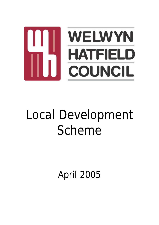

# Local Development Scheme

April 2005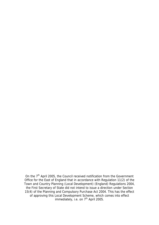On the 7<sup>th</sup> April 2005, the Council received notification from the Government Office for the East of England that in accordance with Regulation 11(2) of the Town and Country Planning (Local Development) (England) Regulations 2004, the First Secretary of State did not intend to issue a direction under Section 15(4) of the Planning and Compulsory Purchase Act 2004. This has the effect of approving this Local Development Scheme, which comes into effect immediately, i.e. on  $7<sup>th</sup>$  April 2005.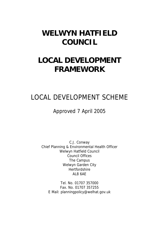# **WELWYN HATFIELD COUNCIL**

# **LOCAL DEVELOPMENT FRAMEWORK**

## LOCAL DEVELOPMENT SCHEME

### Approved 7 April 2005

C.J. Conway Chief Planning & Environmental Health Officer Welwyn Hatfield Council Council Offices The Campus Welwyn Garden City **Hertfordshire** AL8 6AE

Tel. No. 01707 357000 Fax. No. 01707 357255 E Mail: planningpolicy@welhat.gov.uk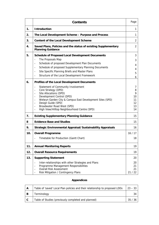|     | <b>Contents</b>                                                                                                    | Page     |
|-----|--------------------------------------------------------------------------------------------------------------------|----------|
| 1.  | <b>Introduction</b>                                                                                                | 1        |
| 2.  | The Local Development Scheme - Purpose and Process                                                                 | 1        |
| 3.  | <b>Content of the Local Development Scheme</b>                                                                     | 2        |
| 4.  | Saved Plans, Policies and the status of existing Supplementary<br><b>Planning Guidance</b>                         | 2        |
| 5.  | <b>Schedule of Proposed Local Development Documents</b>                                                            | 3        |
|     | The Proposals Map                                                                                                  | 3        |
|     | Schedule of proposed Development Plan Documents<br>$\qquad \qquad \blacksquare$                                    | 4        |
|     | Schedule of proposed Supplementary Planning Documents                                                              | 4        |
|     | Site Specific Planning Briefs and Master Plans<br>$\overline{\phantom{a}}$                                         | 5        |
|     | Structure of the Local Development Framework                                                                       | 6        |
| 6.  | Profiles of the Local Development Documents                                                                        |          |
|     | Statement of Community Involvement<br>$\overline{\phantom{a}}$                                                     | 7        |
|     | Core Strategy (DPD)<br>$\blacksquare$                                                                              | 8        |
|     | Site Allocations (DPD)<br>$\blacksquare$                                                                           | 9        |
|     | Development Control (DPD)<br>$\blacksquare$                                                                        | 10       |
|     | Welwyn Garden City & Campus East Development Sites (SPD)<br>$\blacksquare$<br>Design Guide (SPD)<br>$\blacksquare$ | 11<br>12 |
|     | Broadwater Road West (SPD)                                                                                         | 13       |
|     | High View/Hilltop Neighbourhood Centre (SPD)<br>$\overline{\phantom{a}}$                                           | 14       |
| 7.  | <b>Existing Supplementary Planning Guidance</b>                                                                    | 15       |
| 8   | <b>Evidence Base and Studies</b>                                                                                   | 15       |
| 9.  | <b>Strategic Environmental Appraisal/Sustainability Appraisals</b>                                                 | 16       |
| 10. | <b>Overall Programme</b>                                                                                           | 16/17    |
|     | Timetable for Production (Gantt Chart)                                                                             | 18       |
| 11. | <b>Annual Monitoring Reports</b>                                                                                   | 19       |
| 12. | <b>Overall Resource Requirements</b>                                                                               | 19       |
| 13. | <b>Supporting Statement</b>                                                                                        | 20       |
|     | Inter-relationships with other Strategies and Plans<br>$\overline{a}$                                              | 20       |
|     | Programme Management Responsibilities<br>$\overline{a}$                                                            | 21       |
|     | <b>Overall Risk Assessment</b>                                                                                     | 21       |
|     | Risk Mitigation / Contingency Plans                                                                                | 21/22    |

#### **Appendices**

| A | Table of 'saved' Local Plan policies and their relationship to proposed LDDs | $23 - 33$ |
|---|------------------------------------------------------------------------------|-----------|
| B | Terminology                                                                  |           |
|   | Table of Studies (previously completed and planned)                          | 35 / 36   |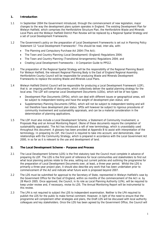#### **1. Introduction**

- 1.1 In September 2004 the Government introduced, through the commencement of new legislation, major changes to the way the development plans system operates in England. The existing Development Plan for Welwyn Hatfield, which comprises the Hertfordshire Structure Plan, the Hertfordshire Waste and Minerals Local Plans and the Welwyn Hatfield District Plan Review will be replaced by a Regional Spatial Strategy and a set of Local Development Frameworks.
- 1.2 The Government's policy on the preparation of Local Development Frameworks is set out in Planning Policy Statement 12 "Local Development Frameworks". This should be read, inter-alia, with:
	- The Planning and Compulsory Purchase Act 2004 (The Act);
	- The Town and Country Planning (Local Development) (England) Regulations 2004;
	- The Town and Country Planning (Transitional Arrangements) Regulations 2004; and
	- Creating Local Development Frameworks A Companion Guide to PPS12.
- 1.3 The preparation of the Regional Spatial Strategy will be the responsibility of the Regional Planning Board. For Welwyn Hatfield, the relevant Regional Planning Body is the East of England Regional Assembly. Hertfordshire County Council will be responsible for producing Waste and Minerals Development Frameworks to replace the existing Waste and Minerals Local Plans.
- 1.4 Welwyn Hatfield District Council will be responsible for producing a Local Development Framework (LDF), that is: an ongoing portfolio of documents, which collectively deliver the spatial planning strategy for the local area. The LDF will comprise Local Development Documents (LDDs), which will be of two types:
	- Development Plan Documents (DPDs), which can deal with different issues or geographical areas, will be subject to independent testing and have the weight of development plan status; and
	- Supplementary Planning Documents (SPDs), which will not be subject to independent testing and will not therefore have development plan status. SPDs will however be subject to rigorous procedures of community involvement and sustainability appraisals, and can be a material consideration in the determination of planning applications.
- 1.5 The LDF must also include a Local Development Scheme, a Statement of Community Involvement, a Proposals Map and an Annual Monitoring Report. (None of these documents require the completion of sustainability appraisals). The Act has introduced a raft of new terminology, which is unavoidably used throughout this document. A glossary has been provided at Appendix B to assist with interpretation of the terminology. In preparing its LDF, the Council is required to take into account, and demonstrate, clear relationships with the Community Strategy, which is prepared in accordance with the Local Government Act 2000, in so far as it is relevant to the use and development of land.

#### **2. The Local Development Scheme – Purpose and Process**

- 2.1 The Local Development Scheme (LDS) is the first statutory task the Council must complete in advance of preparing its LDF. The LDS is the first point of reference for local communities and stakeholders to find out what local planning policies relate to the area, setting out current policies and outlining the programme for the preparation of Local Development Documents over, at least, a three-year period. Whilst the LDS is primarily a three-year project plan, it should also describe any work that has been undertaken prior to commencement of the Act and indicate what future work is proposed beyond 2007.
- 2.2 The LDS must be submitted for approval to the Secretary of State, represented in Welwyn Hatfield's case by the Government Office for the East of England, within six months of the commencement of the Act i.e. by 28 March 2005. Once approved, the Council, in its role as Local Planning Authority (LPA), will be required to keep under review and, if necessary, revise its LDS. The Annual Monitoring Report will be instrumental to this review.
- 2.3 The LPA is not required to subject the LDS to independent examination. Neither is the LPA required to publish the LDS for the public to make formal comment. However, in light of the need to ensure that the programme will complement other strategies and plans, the Draft LDS will be discussed with local authority colleagues and key stakeholders. Once the LDS has been agreed by the Government Office, the Council will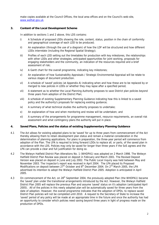make copies available at the Council Offices, the local area offices and on the Council's web-site, www.welhat.gov.uk.

#### **3. Content of the Local Development Scheme**

In addition to sections 1 and 2 above, this LDS contains:

- i) A Schedule of proposed LDDs showing the role, content, status, position in the chain of conformity and geographical coverage of each LDD to be produced;
- ii) An explanation (through the use of a diagram) of how the LDF will be structured and how different LDDs interrelate (including the Regional Spatial Strategy);
- iii) Profiles of each LDD setting out the timetables for production with key milestones, the relationships with other LDDs and other strategies, anticipated opportunities for joint working, proposals for engaging stakeholders and the community, an indication of the resources required and a brief assessment of risk;
- iv) A Gantt chart for the overall programme, indicating key milestones;
- v) An explanation of how Sustainability Appraisals / Strategic Environmental Appraisal will be relate to various stages of document production.
- vi) A schedule of 'saved' policies (at Appendix A) indicating when and how these are to be replaced by or merged to new policies in LDDs or whether they may lapse after a specified period;
- vii) A statement as to whether the Local Planning Authority proposes to save District plan policies beyond three years from adoption of the District Plan;
- viii) A schedule of existing Supplementary Planning Guidance indicating how this is linked to a saved policy and the authority's proposals for replacing existing guidance;
- ix) A summary of what technical studies the authority proposes to undertake;
- x) An explanation of how and when monitoring and review will be undertaken; and
- xi) A summary of the arrangements for programme management, resource requirements, an overall risk assessment and what contingency plans the authority will put in place.

#### **4. Saved Plans, Policies and the status of existing Supplementary Planning Guidance**

- 4.1 The Act allows for existing adopted plans to be 'saved' for up to three years from commencement of the Act thereby allowing them to retain development plan status and remain a material consideration in the determination of planning applications. For plans in preparation, the three-year period will commence from adoption of the Plan. The LPA is required to bring forward LDDs to replace all, or parts, of the saved plan in accordance with the LDS. Policies may only be saved for longer than three years if the SoS agrees and the LPA can provide a clear and full justification for doing so.
- 4.2 The Welwyn Hatfield District Plan Alterations No. 1 (WHDPA1) was adopted on 2 March 1998. The Welwyn Hatfield District Plan Review was placed on deposit in February and March 2001. The Revised Deposit Version was placed on deposit in June and July 2002. The Public Local Inquiry was held between May and November 2003. The Inspector's report was received in April 2004. The LPA placed its Proposed Modifications on deposit between  $27<sup>th</sup>$  October and  $8<sup>th</sup>$  December 2004. On  $2<sup>nd</sup>$  March 2005, the LPA advertised its intention to adopt the Welwyn Hatfield District Plan 2005. Adoption is anticipated in April 2005.
- 4.3 On commencement of the Act, on 28<sup>th</sup> September 2004, the previously adopted Plan (the WHDPA1) became the 'saved' plan under the transitional arrangements introduced by the Act. However, the Welwyn Hatfield District Plan 2005 will replace the previous Plan and assume 'saved' status on it's adoption (anticipated April 2005). All of the policies in this newly adopted plan will be automatically saved for three years from the date of adoption. However, the overall programme indicates that the adoption of DPDs, to replace saved District Plan policies will not be completed until 2010. A request to the Secretary of State to increase the 'saved' period of any policy will be made at an appropriate time in the future and once the authority has had an opportunity to consider which policies need saving beyond three years in light of progress made on the production of DPDs.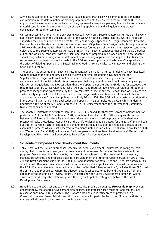- 4.4 Any existing approved SPG which relates to a 'saved' District Plan policy will continue to be a material consideration in the determination of planning applications until they are replaced by SPDs or DPDs, as appropriate. Unless reviewed or replaced, existing approved site-specific planning briefs will also remain a material consideration in the determination of planning applications and will guide any approved development through to completion.
- 4.5 On commencement of the Act, the LPA was engaged in work on a Supplementary Design Guide. This work had initially appeared in the Deposit Version of the Welwyn Hatfield District Plan Review. The Inspector supported the Council's decision to delete (at 2<sup>nd</sup> Deposit Stage) Appendix 2 (Design Standards) from the Plan and to place the standards into a separate document (Supplementary Design Guide) to be prepared as SPG. Notwithstanding the fact that Appendix 2 no longer formed part of the Plan, the Inspector considered objections to the Supplementary Design Guide (SDG). The Inspector concluded that since the SDG derives out of, and would be consistent with the Plan, and had been prepared in a proper manner, once adopted it should carry substantial weight in the determination of planning applications and appeals. The Inspector recommended that two changes be made to the SDG and also supported a Pre-Inquiry Change which had the effect of deleting Appendix 1 (a Sustainability Checklist) from the District Plan Review and placing the Checklist into the SDG.
- 4.6 The Council has accepted the Inspector's recommendations on this matter but in doing so now finds itself wedged between the old and new planning systems and time constraints have meant that the Supplementary Design Guide could not be adopted as Supplementary Planning Guidance before commencement of the Act. Whilst it is acknowledged that it's preparation would not now strictly comply with current Regulations, the LPA considers that the preparation of the Design Guide has far exceeded the requirements of PPG12 "Development Plans". All duly made representations were considered, through a process of independent examination, by the Government's Inspector and the Deposit Plan was subject to a sustainability appraisal. The LPA plans to adopt this Design Guide as a Statement of Council Policy in association with 'saved' Local Plan policies, principally D1 and SD1. The SDG will be a material consideration in the determination of planning applications and appeals. This LDS indicates the Council's intention to undertake a review of the SDG and to prepare a SPD in replacement once the Statement of Community Involvement has been adopted.
- 4.7 The adopted Hertfordshire Structure Plan (1991 2011) is 'saved' for three years from commencement of parts 1 and 2 of the Act (28 September 2004) or until replaced by the RSS. Where any conflict arises between a RSS and a Structure Plan, whichever document was adopted, approved or published most recently will take precedence. Appendix E of the Draft Regional Spatial Strategy for the East of England sets out a list of 'saved' Structure Plan policies although this list may be subject to change as a result of the examination process which is not expected to commence until autumn 2005. The Minerals Local Plan (1998) and Waste Local Plan (1999) will be saved for three years or until replaced by Minerals and Waste Local Development Plans, which will be produced by Hertfordshire County Council.

#### **5. Schedule of Proposed Local Development Documents**

- 5.1 Table 1 sets out the Council's proposed schedule of Local Development Documents indicating the role, status, chain of conformity, geographical coverage and timescales. Part one of the table sets out the proposed Development Plan Documents, part two of the table sets out the proposed Supplementary Planning Documents. The proposed dates for consultation on the Preferred Options stage for DPDs (Reg. 26) and Draft document stage for SPD (Reg. 17) and adoption, for both DPDs and SPDs, are shown in this schedule. All other key milestones are set out in the more detailed profiles, which are set out in section 6 of this LDS. For completeness, the schedule, and the profiles that follow in section 6, includes those DPDs that the LPA plans to produce but where the adoption date is scheduled to be beyond three years from the adoption of the District Plan Review. Figure 1 indicates how the Local Development Framework will be structured and displays the relationship with the Regional Spatial Strategy and between the Local Development Documents.
- 5.2 In addition to the LDDs set out below, the LPA must also prepare an adopted **Proposals Map** to express, geographically, the adopted development plan policies. The Proposals Map must be (and can only be) revised as each new DPD is adopted. The Proposals Map should identify areas of protection, e.g. Conservation Areas, Green Belt etc. and illustrate locations for particular land uses. Minerals and Waste matters will also need to be shown on the Proposals Map.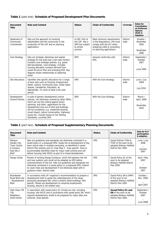|  |  |  |  | Table 1 (part one): Schedule of Proposed Development Plan Documents |  |  |
|--|--|--|--|---------------------------------------------------------------------|--|--|
|--|--|--|--|---------------------------------------------------------------------|--|--|

| <b>Document</b><br><b>Title</b>          | <b>Role and Content</b>                                                                                                                                                                                                                                                                                                                                                                                   | <b>Status</b>                                                                 | <b>Chain of Conformity</b>                                                                                                                        | Coverage          | Dates for<br>Consultation<br>on Preferred<br><b>Options</b><br>$(R26)$ &<br>Adoption |
|------------------------------------------|-----------------------------------------------------------------------------------------------------------------------------------------------------------------------------------------------------------------------------------------------------------------------------------------------------------------------------------------------------------------------------------------------------------|-------------------------------------------------------------------------------|---------------------------------------------------------------------------------------------------------------------------------------------------|-------------------|--------------------------------------------------------------------------------------|
| Statement of<br>Community<br>Involvement | Sets out the approach to involving<br>stakeholders and the community in the<br>production of the LDF and on planning<br>applications.                                                                                                                                                                                                                                                                     | A LDD. Part of<br>the LDF. Not a<br>DPD but subject<br>to similar<br>process. | Meet minimum requirements<br>of the Regulations. LPA must<br>comply with the SCI when<br>preparing LDDs & consulting<br>on planning applications. | District-<br>wide | October /<br>November<br>2005<br>November<br>2006                                    |
| Core Strategy                            | Sets out strategic objectives and spatial<br>strategy for the area over a ten-year horizon.<br>Contains core strategic policies, e.g. green<br>belt boundaries, rural strategy. Includes<br>housing allocation numbers derived from<br>saved Structure Plan and emerging RSS. Key<br>diagram shows relationships to adjoining<br>areas.                                                                   | <b>DPD</b>                                                                    | General conformity with<br>RSS.                                                                                                                   | District-<br>wide | September /<br>October<br>2007<br>June 2009                                          |
| <b>Site Allocations</b>                  | Identifies site-specific allocations for a range<br>of land uses such as Housing, Employment,<br>Retail, Leisure, Community uses, Urban Open<br>Spaces, Cemeteries, Education, as<br>appropriate. To cover at least a ten year<br>period.                                                                                                                                                                 | <b>DPD</b>                                                                    | With the Core Strategy                                                                                                                            | District-<br>wide | June / July<br>2008<br><b>July 2010</b>                                              |
| Development<br><b>Control Policies</b>   | A suite of generic development control<br>policies, not otherwise covered by other DPDs,<br>which set out the criteria against which<br>planning, and other, applications for the<br>development and use of land and buildings<br>will be considered, e.g. residential amenity,<br>visual impact, nature conservation, highways<br>issues etc. Include review of Car Parking<br>Standards, currently SPG. | <b>DPD</b>                                                                    | With the Core Strategy                                                                                                                            | District-<br>wide | March /<br>April. 2009<br>December<br>2010                                           |

### **Table 1** (part two): **Schedule of Proposed Supplementary Planning Documents**

| <b>Document</b><br><b>Title</b>                                                       | <b>Role and Content</b>                                                                                                                                                                                                                                                                                                                                                                                  | <b>Status</b> | <b>Chain of Conformity</b>                                                                       | Date for R17<br>participation<br>& adoption |
|---------------------------------------------------------------------------------------|----------------------------------------------------------------------------------------------------------------------------------------------------------------------------------------------------------------------------------------------------------------------------------------------------------------------------------------------------------------------------------------------------------|---------------|--------------------------------------------------------------------------------------------------|---------------------------------------------|
| Welwyn<br>Garden City<br><b>Town Centre</b><br>& Campus<br>East Dev.t<br><b>Brief</b> | Sets out quidelines and standards not otherwise contained in a<br>saved policy or a proposed DPD. Guide the re-development of key<br>town centre sites in multiple ownership, as identified in saved<br>District Plan policies and on Inset Map 2. Area specific. Area to<br>accommodate identified need for major retail scheme and will<br>deliver housing (site HS22) as part of a mixed development. | <b>SPD</b>    | Saved Policies TCR4 &<br>TCR5 of the soon to be<br>adopted Welwyn Hatfield<br>District Plan 2005 | June / July<br>2006<br>January<br>2007      |
| Design Guide                                                                          | Review of existing Design Guidance, which fell between the old<br>and new systems and could not be adopted as SPG before<br>commencement of the Act. Sets out quidelines and standards not<br>otherwise contained in a saved policy or a proposed DPD. Extend<br>to cover trees and development if not otherwise dealt with in<br>quidance notes. District-wide.                                         | <b>SPD</b>    | Saved Policy D1 of the<br>soon to be adopted<br>Welwyn Hatfield District<br>Plan 2005            | April / May<br>2007<br>October<br>2007      |
| <b>Broadwater</b><br>Road West site<br>- Development<br><b>Brief</b>                  | In accordance with LPI Inspector's recommendation to prepare a<br>development brief to guide the redevelopment of this large<br>previously developed site, which contains listed buildings. Site<br>specific. Mixed use development to comprise employment,<br>housing, leisure & rail related uses.                                                                                                     | <b>SPD</b>    | Saved Policy D6 & EMP3<br>of the soon to be<br>adopted Welwyn Hatfield<br>District Plan 2005     | October /<br>Nov. 2006<br>April 2007        |
| High View/ Hill<br>Top<br>Neighbour-<br>hood Centre                                   | In association with saved policy H1 (mixed-use site, including<br>housing: site HS13) and in accordance with saved policy D6, which<br>requires development, briefs to be prepared for major sites and<br>schemes. Area specific.                                                                                                                                                                        | <b>SPD</b>    | Saved Policy H1 and<br>D6 of the soon to be<br>adopted Welwyn Hatfield<br>District Plan 2005.    | September /<br>October<br>2007<br>June 2008 |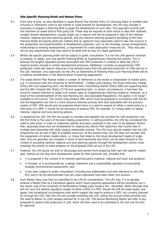#### **Site-Specific Planning Briefs and Master-Plans**

- 5.3 From time to time, as sites identified in saved District Plan Review Policy H1 (Housing Sites) or windfall sites (housing or otherwise) come to the market or come forward for development, the LPA may consider it necessary to prepare a Planning Brief to guide the development of such sites. This approach accords with the intentions of saved District Plan policy D6. These may be required at short notice to deal with relatively straight forward developments (usually single use in nature) and will be prepared in light of the relevant national, regional and local planning policies, and any relevant planning guidance prevailing at the time. Planning Briefs will specify particular matters that an applicant may reasonably need to take into account in the preparation and implementation of development proposals, such as site drainage, access arrangements, relationships to existing developments, a requirement for noise attenuation measures etc. They may also set out any requirements that may need to be dealt with by way of a legal agreement.
- 5.4 Whilst site-specific planning briefs will be subject to public consultation, it is not the LPAs general intention to prepare, or adopt, such site specific Planning Briefs as Supplementary Planning Documents. This is because the lengthy regulated process associated with SPD production is unlikely to allow the LPA to respond quickly enough to certain development pressures. Additional, currently un-programmed, SPD production could also require resources to be diverted away from the planned production of LDDs set out in the LDS. However, once approved, by the LPA, as Statements of Planning Policy such Planning Briefs will be a material consideration in the determination of planning applications.
- 5.5 The saved District Plan Review makes a number of references to the review or preparation of master plans, e.g. in connection with the University of Hertfordshire - College Lane Campus, the Royal Veterinary College (Policy RA7 and supporting text), the Brookmans Park Transmitting Station (Policy RA8 and supporting text) and the QEII Hospital Site (Policy CLT16 and supporting text). In certain circumstances, it had been the Council's original intention to adopt such master plans as Supplementary Planning Guidance. However, as a result of the commencement of the new Planning Act, and associated Regulations, this option is no longer available to the Council. The Council may produce SPD, which must be prepared in accordance with the Act and the Regulations but this is a more resource intensive process than that associated with the previous system of SPG. SPD should only be prepared where there is a need to expand on either a saved policy or a new policy in a DPD. It would not be necessary to prepare SPD, for example, if it simply seeks to repeat national, regional and local planning policies.
- 5.6 In preparing this LDS, the LPA has sought to consider and establish the priorities for LDD production over the first three to five years of the plan-making programme. In setting priorities, the LPA has considered the need to take action in order to implement policies and plans contained in the, soon to be adopted, District Plan, especially those that are fundamental to meeting key District Plan objectives that involve sites in multiple land-ownership with wide ranging stakeholder interest. The LPA must also be realistic that the LDS programme can be met in light of available resources. At the present time, the LPA does not consider that the preparation of certain master-plans, i.e. those that relate to the future development needs of single sites, that are generally non-complex in terms of land-ownership and which can be taken forward in the context of prevailing national, regional and local planning policies through the development control route, outweigh the priority to make progress on the proposed LDDs set out in the LDS.
- 5.7 However, the LPA would not wish to discourage land-owners from preparing their own site-specific masterplan, setting out the long term development needs for their particular site, provided that:
	- It is prepared in the context of all relevant planning policy (national, regional and local) and guidance;
	- It includes, or is accompanied by, a design statement and a sustainability appraisal (incorporating strategic environmental assessment); and
	- It has been subject to public consultation (including key stakeholders and with reference to the LPAs SCI) and it can be demonstrated how any views expressed have been taken into account.
- 5.8 Such Master Plans may then be submitted to the LPA for consideration. The LPA may, if it so decides, endorse a Master-Plan as a framework against which future planning applications will be considered (as in the recent case of the University of Hertfordshire College Lane Campus site - December 2004) although they will not carry the relative regulatory weight of either a DPD or a SPD. Should the LPA be made aware, and agree, that exceptional circumstances exist which support the need to produce a SPD, not currently planned for through this LDS, then the LPA will consider amending the LDS, taking into account other priorities and the need to deliver on LDDs already planned for in the LDS. The Annual Monitoring Report will refer to any proposals to amend LDD production in LDS, which will then need to be submitted to the SoS (via the GO) for approval.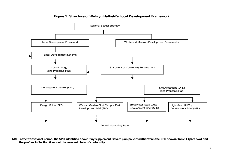

#### **Figure 1: Structure of Welwyn Hatfield's Local Development Framework**

**NB: In the transitional period, the SPD, identified above may supplement 'saved' plan policies rather than the DPD shown. Table 1 (part two) and the profiles in Section 6 set out the relevant chain of conformity.**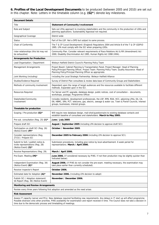#### **6. Profiles of the Local Development Documents** to be produced (between 2005 and 2010) are set out in this chapter. Note: Letters in the timetable column (e.g. **(G)\***) denote key milestones.

| <b>Document Details</b>                                                                        |                                                                                                                                                                                                                                                              |  |  |  |
|------------------------------------------------------------------------------------------------|--------------------------------------------------------------------------------------------------------------------------------------------------------------------------------------------------------------------------------------------------------------|--|--|--|
| Title                                                                                          | <b>Statement of Community Involvement</b>                                                                                                                                                                                                                    |  |  |  |
| Role and Subject                                                                               | Sets out LPAs approach to involving stakeholders and the community in the production of LDDs and<br>planning applications. Sustainability Appraisal not required.                                                                                            |  |  |  |
| Geographical Coverage                                                                          | District wide                                                                                                                                                                                                                                                |  |  |  |
| <b>Status</b>                                                                                  | Part of the LDF. Not a DPD but subject to same process.                                                                                                                                                                                                      |  |  |  |
| Chain of Conformity                                                                            | The T & CP (Local Development) (England) Regulations 2004 and Article 8 of the T & CP (GDP)O<br>1995. LPA must comply with the SCI when preparing LDDs.                                                                                                      |  |  |  |
| Inter-relationships (this list may not<br>be exhaustive)                                       | Community Plan. Consider relevant requirements of Race Relations Act & RR (Amendment) Act<br>2000, Disability Discrimination Act 1995, Human Rights Act 1998 (HRA).                                                                                          |  |  |  |
| <b>Arrangements for Production</b>                                                             |                                                                                                                                                                                                                                                              |  |  |  |
| Lead Organisation / Department                                                                 | Welwyn Hatfield District Council's Planning Policy Team                                                                                                                                                                                                      |  |  |  |
| Management Arrangements                                                                        | Project Board: Cabinet Planning & Transportation Panel, Project Manager: Head of Planning<br>Policy/Principal Planning Officer, Project Team: Planning Policy Team, Quality Assurance: Head of<br>Planning Policy/Principal Planning Officer as appropriate. |  |  |  |
| Joint Working (including)                                                                      | Including the Local Strategic Partnership: Welwyn Hatfield Alliance                                                                                                                                                                                          |  |  |  |
| Studies/Evidence Required                                                                      | Survey of District Plan consultees & review data-base of Community Groups and Stakeholders                                                                                                                                                                   |  |  |  |
| Methods of community involvement                                                               | Dependant upon the range of target audiences and the resources available to facilitate different<br>methods. Expanded upon in the SCI.                                                                                                                       |  |  |  |
| Resources Required                                                                             | For Server and PC upgrade, database design, public notices, cost of consultation - documents,<br>workshops, postage, Programme Officer.                                                                                                                      |  |  |  |
| Stakeholder/Community<br>Involvement                                                           | Includes residents, development professionals, the LSP, RPB, RDA, HCC, adjoining LPAs, EA, CA,<br>EN, HBMC, SRA, PCT, telecoms, gas, electric, sewage & water cos. Town & Parish Councils, interest<br>groups, businesses, interest groups.                  |  |  |  |
| <b>Timetable for production</b>                                                                |                                                                                                                                                                                                                                                              |  |  |  |
| Scoping / Pre-production (G)*                                                                  | Will require new database design, mail-shot/questionnaire to existing database contacts and<br>establish baseline of consultees and stakeholders. March to May 2005.                                                                                         |  |  |  |
| Pre-sub. consultation (Reg. 25) (I)*                                                           | June / July 2005                                                                                                                                                                                                                                             |  |  |  |
| Prepare draft SCI                                                                              | August / September 2005 (including LPA decision to approve draft SCI)                                                                                                                                                                                        |  |  |  |
| Participation on draft SCI (Reg. 26)<br>(Notice Event) (P)*                                    | October / November 2005.                                                                                                                                                                                                                                     |  |  |  |
| Consider representations (Reg.<br>27(3)) / Prepare SCI                                         | December 2005 to February 2006 (including LPA decision to approve SCI).                                                                                                                                                                                      |  |  |  |
| Submit to SoS / publish notice &<br>invite representations (Reg. 28)<br>(Notice Event) $(S)^*$ | Submission procedures, including give notice by local advertisement. 6 week period for<br>representations. March / April 2006.                                                                                                                               |  |  |  |
| Receive Representations (Reg. 29).                                                             | March / April 2006.                                                                                                                                                                                                                                          |  |  |  |
| Pre-Exam. Meeting (M)*                                                                         | June 2006. (If considered necessary by PINS. If not then production may be slightly quicker than<br>indicated below).                                                                                                                                        |  |  |  |
| Independent Examination (Reg. 34)<br>(Notice Event) $(E)$ *                                    | August 2006. (If PINS do not consider the pre-exam. meeting necessary, the examination may<br>take place earlier than currently scheduled).                                                                                                                  |  |  |  |
| Receive Inspector's Report                                                                     | October 2006.                                                                                                                                                                                                                                                |  |  |  |
| Estimated date for Adoption (A)*                                                               | November 2006. (Including LPA decision to adopt)                                                                                                                                                                                                             |  |  |  |
| Publish SCI / Adoption statement/<br>SA Report (Reg. 36) (Notice Event)                        | November / December 2006.                                                                                                                                                                                                                                    |  |  |  |
| <b>Monitoring and Review Arrangements</b>                                                      |                                                                                                                                                                                                                                                              |  |  |  |
| Review every three years following first adoption and amended as the need arises               |                                                                                                                                                                                                                                                              |  |  |  |
| <b>Risk Assessment</b>                                                                         |                                                                                                                                                                                                                                                              |  |  |  |

Assess IT capacity (server and PCs). New database required facilitating new requirements. Any delays in IT start up will affect programme. Possible diversion onto other priorities. PINS availability for examination and report received in time. The Council does not take a decision in time due to the democratic process and timetabling of meetings.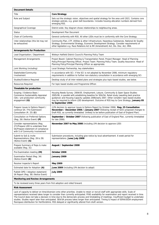| Title<br><b>Core Strategy</b>                                                                                                                                                                                                                                                                                                                                                                                                                                                                                                           |  |  |  |
|-----------------------------------------------------------------------------------------------------------------------------------------------------------------------------------------------------------------------------------------------------------------------------------------------------------------------------------------------------------------------------------------------------------------------------------------------------------------------------------------------------------------------------------------|--|--|--|
| Role and Subject<br>Sets out the strategic vision, objectives and spatial strategy for the area until 2021. Contains core<br>strategic policies, e.g. green belt boundaries. Includes housing allocation numbers derived from<br>emerging RSS.                                                                                                                                                                                                                                                                                          |  |  |  |
| Geographical Coverage<br>District-wide. Key diagram shows relationships to neighbouring areas.                                                                                                                                                                                                                                                                                                                                                                                                                                          |  |  |  |
| <b>Status</b><br>Development Plan Document                                                                                                                                                                                                                                                                                                                                                                                                                                                                                              |  |  |  |
| Chain of Conformity<br>General conformity with RSS. All other LDDs must be in conformity with the Core Strategy.                                                                                                                                                                                                                                                                                                                                                                                                                        |  |  |  |
| Community Plan, LTP, Utilities & other Infrastructure, Hazardous Substances, National Air Quality<br>Inter-relationships (this list may not<br>Strategy, Environmental Strategy, Economic Development Strategy. Consider requirements of<br>be exhaustive)<br>other legislation e.g. Race Relations Act & RR (Amendment) Act, Dis. Disc. Act, HRA.                                                                                                                                                                                      |  |  |  |
| <b>Arrangements for Production</b>                                                                                                                                                                                                                                                                                                                                                                                                                                                                                                      |  |  |  |
| Lead Organisation / Department<br>Welwyn Hatfield District Council's Planning Policy Team                                                                                                                                                                                                                                                                                                                                                                                                                                               |  |  |  |
| Project Board: Cabinet Planning & Transportation Panel, Project Manager: Head of Planning<br>Management Arrangements<br>Policy/Principal Planning Officer, Project Team: Planning Policy Team, Quality Assurance: Head of<br>Planning Policy/Principal Planning Officer as appropriate.                                                                                                                                                                                                                                                 |  |  |  |
| Joint Working (including)<br>Local Strategic Partnership, key stakeholders                                                                                                                                                                                                                                                                                                                                                                                                                                                              |  |  |  |
| In accordance with SCI. If the SCI is not adopted by November 2006, minimum regulatory<br>Stakeholder/Community<br>requirements in addition to further non-statutory consultation in accordance with emerging SCI.<br>Involvement                                                                                                                                                                                                                                                                                                       |  |  |  |
| Desktop study of all inter-related plans and strategies plus topic-based studies, see below.<br>Studies/Evidence Required                                                                                                                                                                                                                                                                                                                                                                                                               |  |  |  |
| For topic based studies and Programme Officer.<br><b>Resources Required</b>                                                                                                                                                                                                                                                                                                                                                                                                                                                             |  |  |  |
| Timetable for production                                                                                                                                                                                                                                                                                                                                                                                                                                                                                                                |  |  |  |
| Scoping / Evidence Base /<br>Housing Needs Survey: 2004/05. Employment, Leisure, Community & Open Space Studies:<br><b>Commence Sustainability Appraisal</b><br>2005/06, in parallel with establishing baseline for SEA/SA. Retail study (awaiting best practice<br>(SA) / pre-production community<br>guidance) and Housing Capacity updates 2006/early 2007. Other (smaller) topic-based studies<br>may be required to inform LDD development. Outcome of RSS key to Core Strategy. January 05<br>engagement (G)<br>to September 2006 |  |  |  |
| (LPA decision to approve Issues & Options Report by October 2006). Reg. 25 Consultation<br>Prepare Issues & Options Report /<br>continue SA / Pre-Submission<br>November / December 2006 / January 2007 (following receipt of SoS's proposed changes to<br>Draft RSS, as currently timetabled. Unlikely to be before publication of East of England Plan).<br>Consultation (R. 25) (I)                                                                                                                                                  |  |  |  |
| Consultation on Preferred Options<br>September / October 2007 (following publication of East of England Plan, currently timetabled<br>for late 2006).<br>(Reg. 26) (Notice Event) (P)                                                                                                                                                                                                                                                                                                                                                   |  |  |  |
| Consider representations (Reg.<br>November 2007 to May 2008 (including LPA decision to approve LDD)<br>27)/Prepare LDD & undertake final<br>SA/Prepare statement of compliance<br>with S of Community Involvement                                                                                                                                                                                                                                                                                                                       |  |  |  |
| Submit to SoS & Invite<br>Submission procedures, including give notice by local advertisement. 6 week period for<br>representations. June/July 2008<br>Representations (Reg. 28 & 29)<br>(Notice Event) (S)                                                                                                                                                                                                                                                                                                                             |  |  |  |
| Prepare Summary of Reps & make<br>August / September 2008<br>available (Reg. 31)                                                                                                                                                                                                                                                                                                                                                                                                                                                        |  |  |  |
| Pre-Examination meeting (M)<br>October 2008                                                                                                                                                                                                                                                                                                                                                                                                                                                                                             |  |  |  |
| Examination Period (Reg. 34)<br>January 2009<br>(Notice Event) (E)                                                                                                                                                                                                                                                                                                                                                                                                                                                                      |  |  |  |
| Receive Inspector's Report<br>May 2009                                                                                                                                                                                                                                                                                                                                                                                                                                                                                                  |  |  |  |
| June 2009 (including LPA decision to adopt)<br>Estimated date for Adoption (A)                                                                                                                                                                                                                                                                                                                                                                                                                                                          |  |  |  |
| Publish DPD / Adoption statement/<br><b>July 2009</b><br>SA Report (Reg. 36) (Notice Event)                                                                                                                                                                                                                                                                                                                                                                                                                                             |  |  |  |
| <b>Monitoring and Review Arrangements</b>                                                                                                                                                                                                                                                                                                                                                                                                                                                                                               |  |  |  |
| To be reviewed every three years from first adoption and rolled forward.                                                                                                                                                                                                                                                                                                                                                                                                                                                                |  |  |  |
| <b>Risk Assessment</b>                                                                                                                                                                                                                                                                                                                                                                                                                                                                                                                  |  |  |  |

Lack of capacity to deliver on time/diversion onto other priorities. Unable to retain or recruit staff with appropriate skills. Scale of representations received takes longer to consider than currently anticipated. PINS availability for examination and report received in time. The Council does not take a decision in time due to the democratic process and timetabling of meetings. Insufficient budget to undertake studies. Studies report later than anticipated. SEA/SA process takes longer than anticipated. Timing & impact of EERA/EEDA employment floorspace distribution for Hertfordshire. RSS delayed or significantly altered from draft version.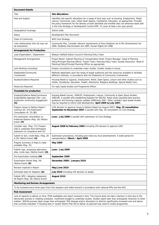| <b>Document Details</b>                                                                                                                     |                                                                                                                                                                                                                                                                                                                                                                                                    |  |  |
|---------------------------------------------------------------------------------------------------------------------------------------------|----------------------------------------------------------------------------------------------------------------------------------------------------------------------------------------------------------------------------------------------------------------------------------------------------------------------------------------------------------------------------------------------------|--|--|
| Title                                                                                                                                       | <b>Site Allocations</b>                                                                                                                                                                                                                                                                                                                                                                            |  |  |
| Role and Subject                                                                                                                            | Identifies site-specific allocations for a range of land uses such as Housing, Employment, Retail,<br>Leisure, Community uses, Urban Open Spaces, Cemeteries, Education, as appropriate. Provides<br>the policy framework for the delivery of both identified and windfall sites not otherwise dealt with<br>in the Core Strategy or Development Control DPD. To cover at least a ten year period. |  |  |
| Geographical Coverage                                                                                                                       | District wide.                                                                                                                                                                                                                                                                                                                                                                                     |  |  |
| Status                                                                                                                                      | Development Plan Document                                                                                                                                                                                                                                                                                                                                                                          |  |  |
| Chain of Conformity                                                                                                                         | With Core Strategy.                                                                                                                                                                                                                                                                                                                                                                                |  |  |
| Inter-relationships (this list may not<br>be exhaustive)                                                                                    | Community Plan. Consider relevant requirements of Race Relations Act & RR (Amendment) Act<br>2000, Disability Discrimination Act 1995, Human Rights Act 1998.                                                                                                                                                                                                                                      |  |  |
| <b>Arrangements for Production</b>                                                                                                          |                                                                                                                                                                                                                                                                                                                                                                                                    |  |  |
| Lead Organisation / Department                                                                                                              | Welwyn Hatfield District Council's Planning Policy Team                                                                                                                                                                                                                                                                                                                                            |  |  |
| Management Arrangements                                                                                                                     | Project Board: Cabinet Planning & Transportation Panel, Project Manager: Head of Planning<br>Policy/Principal Planning Officer, Project Team: Planning Policy Team, Quality Assurance: Head of<br>Planning Policy/Principal Planning Officer as appropriate.                                                                                                                                       |  |  |
| Joint Working (including)                                                                                                                   | Employ consultants to undertake major studies. Smaller studies in-house.                                                                                                                                                                                                                                                                                                                           |  |  |
| Stakeholder/Community<br>Involvement                                                                                                        | Methods dependant upon the range of target audiences and the resources available to facilitate<br>different methods. In accordance with the Statement of Community Involvement.                                                                                                                                                                                                                    |  |  |
| Studies/Evidence Required                                                                                                                   | Housing Needs & Capacity, Employment, Retail, Open Space, Leisure and other studies such as<br>Hotels, Cemeteries, Education, Health, Allotments, Religious Buildings, Special Needs Care.                                                                                                                                                                                                         |  |  |
| Resources Required                                                                                                                          | For topic based studies and Programme Officer.                                                                                                                                                                                                                                                                                                                                                     |  |  |
| Timetable for production                                                                                                                    |                                                                                                                                                                                                                                                                                                                                                                                                    |  |  |
| Scoping/Evidence Base/Commence<br>Sustainability Appraisal (SA) / pre-<br>production community engagement<br>(G)                            | Housing Needs Survey: 2004/05. Employment, Leisure, Community & Open Space Studies:<br>2005/06, in parallel with establishing baseline for SEA/SA. Retail study (awaiting best practice<br>guidance) and Housing Capacity updates 2006/early 2007. Other (smaller) topic-based studies<br>may be required to inform LDD development. April 2005 to July 2007.                                      |  |  |
| Prepare Issues & Options Report /<br>continue SA / Pre-Submission<br>Consultation (R. 25) (I)                                               | (LPA decision to approve Issues & Options Report by August 2007). Reg. 25 consultation<br>September to November 2007 in parallel with Reg. 26 consultation on Core Strategy.                                                                                                                                                                                                                       |  |  |
| Pre-submission consultation on<br>Preferred Options (Reg. 26) (Notice<br>Event) $(P)$                                                       | June / July 2008 in parallel with submission of Core Strategy                                                                                                                                                                                                                                                                                                                                      |  |  |
| Consider reps. (Req. 27)/ Prepare<br>LDD & undertake final SA/Prepare<br>statement of compliance with SCI                                   | August 2008 to February 2009 (including LPA decision to approve LDD)                                                                                                                                                                                                                                                                                                                               |  |  |
| Submit to SoS, Invite Reps. (Reg. 28<br>& 29) (Notice Event) (S)                                                                            | Submission procedures, including give notice by local advertisement. 6 week period for<br>representations. March / April 2009                                                                                                                                                                                                                                                                      |  |  |
| Prepare Summary of Reps & make<br>available (Reg. 31)                                                                                       | May 2009                                                                                                                                                                                                                                                                                                                                                                                           |  |  |
| Publish reps. proposing alternative<br>sites, invite reps. (Notice Event) (O)                                                               | June / July 2009                                                                                                                                                                                                                                                                                                                                                                                   |  |  |
| Pre-Examination meeting (M)                                                                                                                 | September 2009                                                                                                                                                                                                                                                                                                                                                                                     |  |  |
| Examination Period (Reg. 34)<br>(Notice Event) (E)                                                                                          | December 2009 / January 2010                                                                                                                                                                                                                                                                                                                                                                       |  |  |
| Receive Inspector's Report                                                                                                                  | May/June 2010                                                                                                                                                                                                                                                                                                                                                                                      |  |  |
| Estimated date for Adoption (A)                                                                                                             | July 2010 (including LPA decision to adopt)                                                                                                                                                                                                                                                                                                                                                        |  |  |
| Publish DPD / Adoption statement/<br>SA Report (Reg. 36) (Notice Event)                                                                     | August 2010                                                                                                                                                                                                                                                                                                                                                                                        |  |  |
| <b>Monitoring and Review Arrangements</b>                                                                                                   |                                                                                                                                                                                                                                                                                                                                                                                                    |  |  |
| To be reviewed every three years from first adoption and rolled forward in accordance with national PPSs and the RSS.                       |                                                                                                                                                                                                                                                                                                                                                                                                    |  |  |
| <b>Risk Assessment</b>                                                                                                                      |                                                                                                                                                                                                                                                                                                                                                                                                    |  |  |
| Lack of canacity to deliver on time. PINS availability and report received in time. The Council does not take a decision in time due to the |                                                                                                                                                                                                                                                                                                                                                                                                    |  |  |

Lack of capacity to deliver on time. PINS availability and report received in time. The Council does not take a decision in time due to the democratic process or meeting schedules. Insufficient budget to undertake studies. Studies report later than anticipated. Diversion to other matters. SEA/SA process takes longer than anticipated. RSS delayed and/or allocations to districts significantly increased over and above that currently indicated. If Housing sites in 'saved' District Plan fail to deliver as planned may need to review programme.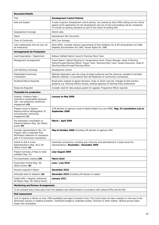| <b>Document Details</b>                                                                                                                      |                                                                                                                                                                                                                                                                                    |  |  |
|----------------------------------------------------------------------------------------------------------------------------------------------|------------------------------------------------------------------------------------------------------------------------------------------------------------------------------------------------------------------------------------------------------------------------------------|--|--|
| Title                                                                                                                                        | <b>Development Control Policies</b>                                                                                                                                                                                                                                                |  |  |
| Role and Subject                                                                                                                             | A suite of generic development control policies, not covered by other DPDs setting out the criteria<br>against which applications for the development and use of land and buildings will be considered.<br>To include car parking standards as part of the review of existing SPG. |  |  |
| Geographical Coverage                                                                                                                        | District wide.                                                                                                                                                                                                                                                                     |  |  |
| Status                                                                                                                                       | Development Plan Document                                                                                                                                                                                                                                                          |  |  |
| Chain of Conformity                                                                                                                          | With Core Strategy                                                                                                                                                                                                                                                                 |  |  |
| Inter-relationships (this list may not<br>be exhaustive)                                                                                     | Other DPDs. Consider relevant requirements of Race Relations Act & RR (Amendment) Act 2000,<br>Disability Discrimination Act 1995, Human Rights Act 1998.                                                                                                                          |  |  |
| <b>Arrangements for Production</b>                                                                                                           |                                                                                                                                                                                                                                                                                    |  |  |
| Lead Organisation / Department                                                                                                               | Welwyn Hatfield District Council's Planning Policy Team                                                                                                                                                                                                                            |  |  |
| Management Arrangements                                                                                                                      | Project Board: Cabinet Planning & Transportation Panel, Project Manager: Head of Planning<br>Policy/Principal Planning Officer, Project Team: Planning Policy Team, Quality Assurance: Head of<br>Planning Policy/Principal Planning Officer                                       |  |  |
| Joint Working (including)                                                                                                                    | Development Control                                                                                                                                                                                                                                                                |  |  |
| Stakeholder/Community<br>Involvement                                                                                                         | Methods dependant upon the range of target audiences and the resources available to facilitate<br>different methods. In accordance with the Statement of Community Involvement.                                                                                                    |  |  |
| Studies/Evidence Required                                                                                                                    | Broad policy analysis of appeal decisions, study of recent case law, changes to best practice<br>guidance e.g. Planning Officers Society, desktop appraisal of Planning Policy Statements.                                                                                         |  |  |
| <b>Resources Required</b>                                                                                                                    | Consider need for data-analysis system for appeals. Programme Officer required.                                                                                                                                                                                                    |  |  |
| Timetable for production                                                                                                                     |                                                                                                                                                                                                                                                                                    |  |  |
| Scoping / Evidence Base /<br><b>Commence Sustainability Appraisal</b><br>(SA) / pre-production community<br>engagement (G)                   | January to May 2008                                                                                                                                                                                                                                                                |  |  |
| Prepare Issues & Options<br>Report/continue SA/Regulation 25<br>pre-production community<br>engagement (I)                                   | (LPA decision to approve Issues & Options Report by June 2008). Reg. 25 consultation July to<br>September 2008                                                                                                                                                                     |  |  |
| Pre-submission consultation on<br>Preferred Options (Reg. 26) (Notice<br>Event) (P)                                                          | March / April 2009                                                                                                                                                                                                                                                                 |  |  |
| Consider representations (Re. 27)/<br>Prepare LDD & undertake final<br>SA/Prepare statement of compliance<br>with S of Community Involvement | May to October 2009 (including LPA decision to approve LDD)                                                                                                                                                                                                                        |  |  |
| Submit to SoS & Invite<br>Representations (Reg. 28 & 29)<br>(Notice Event) (S)                                                               | Submission procedures, including give notice by local advertisement. 6 week period for<br>representations. November / December 2009                                                                                                                                                |  |  |
| Prepare Summary of Reps & make<br>available (Reg. 31)                                                                                        | July/August 2009                                                                                                                                                                                                                                                                   |  |  |
| Pre-Examination meeting (M)                                                                                                                  | <b>March 2010</b>                                                                                                                                                                                                                                                                  |  |  |
| Examination Period (Reg. 34)<br>(Notice Event) (E)                                                                                           | June / July 2010                                                                                                                                                                                                                                                                   |  |  |
| Receive Inspector's Report                                                                                                                   | November 2010                                                                                                                                                                                                                                                                      |  |  |
| Estimated date for Adoption (A)                                                                                                              | <b>December 2010</b> (including LPA decision to adopt)                                                                                                                                                                                                                             |  |  |
| Publish DPD / Adoption statement/<br>SA Report (Reg. 36) (Notice Event)                                                                      | January 2011                                                                                                                                                                                                                                                                       |  |  |
| <b>Monitoring and Review Arrangements</b>                                                                                                    |                                                                                                                                                                                                                                                                                    |  |  |
|                                                                                                                                              | To be reviewed every three years from first adoption and rolled forward in accordance with national PPSs and the RSS.                                                                                                                                                              |  |  |
| <b>Risk Assessment</b>                                                                                                                       |                                                                                                                                                                                                                                                                                    |  |  |
|                                                                                                                                              |                                                                                                                                                                                                                                                                                    |  |  |

Lack of capacity to deliver on time. PINS availability and report received in time. The Council does not take a decision in time due to the democratic process or meeting schedules. Insufficient budget to undertake studies. Diversion to other matters. SEA/SA process takes longer than anticipated.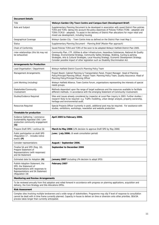| <b>Document Details</b>                                                                                                                                                                        |                                                                                                                                                                                                                                                                                                                                                                                        |  |  |
|------------------------------------------------------------------------------------------------------------------------------------------------------------------------------------------------|----------------------------------------------------------------------------------------------------------------------------------------------------------------------------------------------------------------------------------------------------------------------------------------------------------------------------------------------------------------------------------------|--|--|
| Title                                                                                                                                                                                          | Welwyn Garden City Town Centre and Campus East (Development Brief)                                                                                                                                                                                                                                                                                                                     |  |  |
| Role and Subject                                                                                                                                                                               | Supplementary Planning Document to be developed in association with saved District Plan policies<br>TCR4 and TCR5, taking into account the policy objectives of Policies TCR5A (TCR6 - adopted) and<br>TCR9 (TCR10 - adopted). To assist in the delivery of District Plan allocations for major retail and<br>mixed use development, including housing                                 |  |  |
| Geographical Coverage                                                                                                                                                                          | Welwyn Garden City - Town Centre Area as defined on the District Plan Inset Map 2.                                                                                                                                                                                                                                                                                                     |  |  |
| <b>Status</b>                                                                                                                                                                                  | Supplementary Planning Document - Planning Brief (Master-Plan approach)                                                                                                                                                                                                                                                                                                                |  |  |
| Chain of Conformity                                                                                                                                                                            | Saved Policies TCR4 and TCR5 of the soon to be adopted Welwyn Hatfield District Plan 2005.                                                                                                                                                                                                                                                                                             |  |  |
| Inter-relationships (this list may not<br>be exhaustive)                                                                                                                                       | Community Plan, LTP, Utilities & other Infrastructure, Hazardous Substances, National Air Quality<br>Strategy, Environmental Strategy, Community Safety Strategy, Walking, Cycling & parking<br>Strategies, Arts & Cultural Strategies, Local Housing Strategy, Economic Development Strategy.<br>Consider possible impact of other legislation such as Disability Discrimination Act. |  |  |
| <b>Arrangements for Production</b>                                                                                                                                                             |                                                                                                                                                                                                                                                                                                                                                                                        |  |  |
| Lead Organisation / Department                                                                                                                                                                 | Welwyn Hatfield District Council's Planning Policy Team                                                                                                                                                                                                                                                                                                                                |  |  |
| Management Arrangements                                                                                                                                                                        | Project Board: Cabinet Planning & Transportation Panel, Project Manager: Head of Planning<br>Policy/Principal Planning Officer, Project Team: Planning Policy Team, Quality Assurance: Head of<br>Planning Policy/Principal Planning Officer                                                                                                                                           |  |  |
| Joint Working (including)                                                                                                                                                                      | Welwyn Hatfield Alliance, Town Centre Forum, organisations representing the interests of special<br>needs groups.                                                                                                                                                                                                                                                                      |  |  |
| Stakeholder/Community<br>Involvement                                                                                                                                                           | Methods dependant upon the range of target audiences and the resources available to facilitate<br>different methods. In accordance with the emerging Statement of Community Involvement.                                                                                                                                                                                               |  |  |
| Studies/Evidence Required                                                                                                                                                                      | Sites and Issues already considered by Inspector at Local Plan Inquiry in 2003. Further studies /<br>research likely to be required: e.g. Traffic modelling, urban design analysis, property ownership,<br>heritage and environmental audit.                                                                                                                                           |  |  |
| Resources Required                                                                                                                                                                             | Special Projects Officer (currently in post), additional post may be required. For assistance with<br>studies, exhibitions, workshops, newsletter and website production.                                                                                                                                                                                                              |  |  |
| <b>Timetable for production</b>                                                                                                                                                                |                                                                                                                                                                                                                                                                                                                                                                                        |  |  |
| Evidence Gathering / commence<br>Sustainability Appraisal (SA) / pre-<br>production community engagement<br>(G)                                                                                | April 2005 to February 2006.                                                                                                                                                                                                                                                                                                                                                           |  |  |
| Prepare Draft SPD / continue SA                                                                                                                                                                | March to May 2006 (LPA decision to approve Draft SPD by May 2006)                                                                                                                                                                                                                                                                                                                      |  |  |
| Public participation on draft SPD<br>(Regulation 17 - includes notice<br>event) $(P)$                                                                                                          | June / July 2006. (6 week consultation period)                                                                                                                                                                                                                                                                                                                                         |  |  |
| <b>Consider representations</b>                                                                                                                                                                | August / September 2006.                                                                                                                                                                                                                                                                                                                                                               |  |  |
| Finalise SA and SPD (Reg. 18).<br>Prepare Statement of<br>Representations (with responses)<br>and SA Statement                                                                                 | September to December 2006                                                                                                                                                                                                                                                                                                                                                             |  |  |
| Estimated date for Adoption (A)                                                                                                                                                                | January 2007 (including LPA decision to adopt SPD)                                                                                                                                                                                                                                                                                                                                     |  |  |
| Publish Adoption Statement, the<br>SPD, the Statement of<br>Representations with responses to<br>Representations and SA Statement<br>(Regulation 19)                                           | February 2007                                                                                                                                                                                                                                                                                                                                                                          |  |  |
| <b>Monitoring and Review Arrangements</b>                                                                                                                                                      |                                                                                                                                                                                                                                                                                                                                                                                        |  |  |
| To be reviewed annually from first adoption and rolled forward in accordance with progress on planning applications, acquisition and<br>delivery, the Core Strategy and Site Allocations DPDs. |                                                                                                                                                                                                                                                                                                                                                                                        |  |  |
| Diele Accocompant                                                                                                                                                                              |                                                                                                                                                                                                                                                                                                                                                                                        |  |  |

**Risk Assessment** 

Complex sites involving multiple landowners and a wide range of stakeholders. Programme may slip if level of response to consultation cannot be dealt with in time frame currently planned. Capacity in-house to deliver on time or diversion onto other priorities. SEA/SA process takes longer than currently anticipated.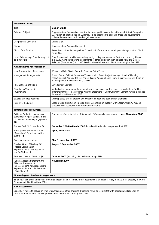| <b>Document Details</b>                                                                                                                                                           |                                                                                                                                                                                                                                                                                               |  |  |  |
|-----------------------------------------------------------------------------------------------------------------------------------------------------------------------------------|-----------------------------------------------------------------------------------------------------------------------------------------------------------------------------------------------------------------------------------------------------------------------------------------------|--|--|--|
| Title                                                                                                                                                                             | <b>Design Guide</b>                                                                                                                                                                                                                                                                           |  |  |  |
| Role and Subject                                                                                                                                                                  | Supplementary Planning Document to be developed in association with saved District Plan policy<br>D1. Review of existing Design Guidance. To be expanded to deal with trees and development<br>unless otherwise dealt with in other guidance notes.                                           |  |  |  |
| Geographical Coverage                                                                                                                                                             | District wide.                                                                                                                                                                                                                                                                                |  |  |  |
| <b>Status</b>                                                                                                                                                                     | Supplementary Planning Document                                                                                                                                                                                                                                                               |  |  |  |
| Chain of Conformity                                                                                                                                                               | Saved District Plan Review policies D1 and SD1 of the soon to be adopted Welwyn Hatfield District<br>Plan 2005.                                                                                                                                                                               |  |  |  |
| Inter-Relationships (this list may not<br>be exhaustive)                                                                                                                          | Core Strategy will provide over-arching design policy in due course. Best practice and guidance<br>e.g. CABE. Consider relevant requirements of other legislation such as Race Relations & Race<br>Relations (Amendment) Act 2000, Disability Discrimination Act 1995, Human Rights Act 1998. |  |  |  |
| <b>Arrangements for Production</b>                                                                                                                                                |                                                                                                                                                                                                                                                                                               |  |  |  |
| Lead Organisation / Department                                                                                                                                                    | Welwyn Hatfield District Council's Planning Policy Team                                                                                                                                                                                                                                       |  |  |  |
| Management Arrangements                                                                                                                                                           | Project Board: Cabinet Planning & Transportation Panel, Project Manager: Head of Planning<br>Policy/Principal Planning Officer, Project Team: Planning Policy Team, Quality Assurance: Head of<br>Planning Policy/Principal Planning Officer                                                  |  |  |  |
| Joint Working (including)                                                                                                                                                         | Development Control                                                                                                                                                                                                                                                                           |  |  |  |
| Stakeholder/Community<br>Involvement                                                                                                                                              | Methods dependant upon the range of target audiences and the resources available to facilitate<br>different methods. In accordance with the Statement of Community Involvement, which is planned<br>for adoption in November 2006)                                                            |  |  |  |
| Studies/Evidence Required                                                                                                                                                         | Desktop study of best practice and evidence of poor and good design examples.                                                                                                                                                                                                                 |  |  |  |
| Resources Required                                                                                                                                                                | Urban Design skills Graphic Design skills. Depending on capacity within team, this SPD may be<br>produced with assistance from external consultants.                                                                                                                                          |  |  |  |
| <b>Timetable for production</b>                                                                                                                                                   |                                                                                                                                                                                                                                                                                               |  |  |  |
| Evidence Gathering / commence<br>Sustainability Appraisal (SA) & pre-<br>production community engagement<br>(G)                                                                   | Commence after submission of Statement of Community Involvement. June - November 2006                                                                                                                                                                                                         |  |  |  |
| Prepare Draft SPD / continue SA                                                                                                                                                   | December 2006 to March 2007 (including LPA decision to approve draft SPD)                                                                                                                                                                                                                     |  |  |  |
| Public participation on draft SPD<br>(Regulation 17 - includes notice<br>event) (P)                                                                                               | April / May 2007                                                                                                                                                                                                                                                                              |  |  |  |
| Consider representations                                                                                                                                                          | May / June / July 2007                                                                                                                                                                                                                                                                        |  |  |  |
| Finalise SA and SPD (Reg. 18).<br>Prepare Statement of<br>Representations (with responses)<br>and SA Statement                                                                    | August / September 2007                                                                                                                                                                                                                                                                       |  |  |  |
| Estimated date for Adoption (A)                                                                                                                                                   | October 2007 (including LPA decision to adopt SPD)                                                                                                                                                                                                                                            |  |  |  |
| Publish Adoption Statement, the<br>SPD, the Statement of<br>Representations with responses to<br>Representations and SA Statement<br>(Regulation 19)                              | November 2007                                                                                                                                                                                                                                                                                 |  |  |  |
| <b>Monitoring and Review Arrangements</b>                                                                                                                                         |                                                                                                                                                                                                                                                                                               |  |  |  |
| To be reviewed every three years from first adoption and rolled forward in accordance with national PPSs, the RSS, best practice, the Core<br>Strategy and Site Allocations DPDs. |                                                                                                                                                                                                                                                                                               |  |  |  |

#### **Risk Assessment**

Capacity in-house to deliver on time or diversion onto other priorities. Unable to retain or recruit staff with appropriate skills. Lack of resources to out-source. SEA/SA process takes longer than currently anticipated.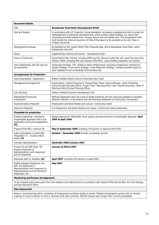| <b>Document Details</b>                                                                                                                                               |                                                                                                                                                                                                                                                                                                                                                                                                                        |  |  |
|-----------------------------------------------------------------------------------------------------------------------------------------------------------------------|------------------------------------------------------------------------------------------------------------------------------------------------------------------------------------------------------------------------------------------------------------------------------------------------------------------------------------------------------------------------------------------------------------------------|--|--|
| Title                                                                                                                                                                 | Broadwater Road West (Development Brief)                                                                                                                                                                                                                                                                                                                                                                               |  |  |
| Role and Subject                                                                                                                                                      | In accordance with LPI Inspector's recommendation, to prepare a development brief to guide the<br>redevelopment of previously developed land, which contains listed buildings, for mixed uses<br>comprising primarily employment, housing, leisure and rail related uses. The development brief<br>shall include the minimum quantum of Class B floorspace to be provided on the site. Sites in<br>multiple ownership. |  |  |
| Geographical Coverage                                                                                                                                                 | As identified on the 'saved' District Plan Proposals Map, Site at Broadwater Road West, within<br>Employment Area EA1.                                                                                                                                                                                                                                                                                                 |  |  |
| <b>Status</b>                                                                                                                                                         | Supplementary Planning Document - Development Brief                                                                                                                                                                                                                                                                                                                                                                    |  |  |
| Chain of Conformity                                                                                                                                                   | Saved District Plan Policies, including EMP3 and D6. General conformity with saved Structure Plan<br>Policies, RPG9, emerging RSS and national PPGs/PPSs. Listed Building Legislation and policies.                                                                                                                                                                                                                    |  |  |
| Inter-relationships (this list may not<br>be exhaustive)                                                                                                              | Community Strategy. LTP, Utilities & other Infrastructure, Hazardous Substances, National Air<br>Quality Strategy, Environment Strategy, Crime Reduction Strategy. Consider possible impact of<br>other legislation such as Disability Discrimination Act.                                                                                                                                                             |  |  |
| <b>Arrangements for Production</b>                                                                                                                                    |                                                                                                                                                                                                                                                                                                                                                                                                                        |  |  |
| Lead Organisation / Department                                                                                                                                        | Welwyn Hatfield District Council's Planning Policy Team                                                                                                                                                                                                                                                                                                                                                                |  |  |
| Management Arrangements                                                                                                                                               | Project Board: Cabinet Planning & Transportation Panel, Project Manager: Head of Planning<br>Policy/Principal Planning Officer, Project Team: Planning Policy Team, Quality Assurance: Head of<br>Planning Policy/Principal Planning Officer                                                                                                                                                                           |  |  |
| Joint Working                                                                                                                                                         | Welwyn Hatfield Economic Development Unit                                                                                                                                                                                                                                                                                                                                                                              |  |  |
| Stakeholder/Community<br>Involvement                                                                                                                                  | Methods dependant upon the range of target audiences and the resources available to facilitate<br>different methods. In accordance with the emerging Statement of Community Involvement.                                                                                                                                                                                                                               |  |  |
| Studies/Evidence Required                                                                                                                                             | Employment and Retail Studies and Leisure / Community needs.                                                                                                                                                                                                                                                                                                                                                           |  |  |
| Resources Required                                                                                                                                                    | For Employment and Retail Studies and Leisure / Community needs assessment.                                                                                                                                                                                                                                                                                                                                            |  |  |
| <b>Timetable for production</b>                                                                                                                                       |                                                                                                                                                                                                                                                                                                                                                                                                                        |  |  |
| Evidence Gathering / commence<br>Sustainability Appraisal (SA) & pre-<br>production community engagement<br>(G)                                                       | Studies planned for 2005/2006. Once outputs received commence Sustainability Appraisal. April<br>2005 to April 2006                                                                                                                                                                                                                                                                                                    |  |  |
| Prepare Draft SPD / continue SA                                                                                                                                       | May to September 2006 (including LPA decision to approve Draft SPD)                                                                                                                                                                                                                                                                                                                                                    |  |  |
| Public participation on draft SPD<br>(Regulation 17 - includes notice<br>event) (P)                                                                                   | October / November 2006 (6 week consultation period)                                                                                                                                                                                                                                                                                                                                                                   |  |  |
| Consider representations                                                                                                                                              | December 2006/January 2007                                                                                                                                                                                                                                                                                                                                                                                             |  |  |
| Finalise SA and SPD (Reg. 18).<br>Prepare Statement of<br>Representations (with responses)<br>and SA Statement                                                        | January to March 2007                                                                                                                                                                                                                                                                                                                                                                                                  |  |  |
| Estimated date for Adoption (A)                                                                                                                                       | April 2007 (including LPA decision to adopt SPD)                                                                                                                                                                                                                                                                                                                                                                       |  |  |
| Publish Adoption Statement, the<br>SPD, the Statement of<br>Representations with responses to<br>Representations and SA Statement<br>(Regulation 19)                  | May 2007                                                                                                                                                                                                                                                                                                                                                                                                               |  |  |
| <b>Monitoring and Review Arrangements</b>                                                                                                                             |                                                                                                                                                                                                                                                                                                                                                                                                                        |  |  |
| To be reviewed every three years from first adoption and rolled forward in accordance with national PPSs and the RSS, the Core Strategy<br>and Site Allocations DPDs. |                                                                                                                                                                                                                                                                                                                                                                                                                        |  |  |
| <b>Risk Assessment</b>                                                                                                                                                |                                                                                                                                                                                                                                                                                                                                                                                                                        |  |  |

Delay in commissioning and/or completion of Employment and Retail studies at outset. Multiple land/property-owners with an interest. Capacity in-house to deliver on time or diversion onto other priorities. SEA/SA process takes longer than currently anticipated.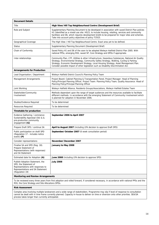| <b>Document Details</b>                                                                                                                              |                                                                                                                                                                                                                                                                                                                                                                                 |
|------------------------------------------------------------------------------------------------------------------------------------------------------|---------------------------------------------------------------------------------------------------------------------------------------------------------------------------------------------------------------------------------------------------------------------------------------------------------------------------------------------------------------------------------|
| Title                                                                                                                                                | High View/Hill Top Neighbourhood Centre (Development Brief)                                                                                                                                                                                                                                                                                                                     |
| Role and Subject                                                                                                                                     | Supplementary Planning Document to be developed in association with saved District Plan policies<br>H1 (identified as a mixed use site: HS23, to include housing, retailing, services and community<br>facilities) and D6, which requires development briefs to be prepared for major sites and schemes.<br>Take into account policy objectives of policy TCR25.                |
| Geographical Coverage                                                                                                                                | The High View / Hill Top Neighbourhood Centre. Exact area yet to be defined.                                                                                                                                                                                                                                                                                                    |
| <b>Status</b>                                                                                                                                        | Supplementary Planning Document (Development Brief)                                                                                                                                                                                                                                                                                                                             |
| Chain of Conformity                                                                                                                                  | Saved Policy H1 and D6 of the soon to be adopted Welwyn Hatfield District Plan 2005. With<br>national PPSs, emerging RSS, saved SP, Core Strategy and DPDs if appropriate.                                                                                                                                                                                                      |
| Inter-relationships                                                                                                                                  | Community Plan, LTP, Utilities & other Infrastructure, Hazardous Substances, National Air Quality<br>Strategy, Environmental Strategy, Community Safety Strategy, Walking, Cycling & Parking<br>Strategy, Economic Development Strategy, Local Housing Strategy, Asset Management Plan.<br>Consider possible impact of other legislation such as Disability Discrimination Act. |
| <b>Arrangements for Production</b>                                                                                                                   |                                                                                                                                                                                                                                                                                                                                                                                 |
| Lead Organisation / Department                                                                                                                       | Welwyn Hatfield District Council's Planning Policy Team                                                                                                                                                                                                                                                                                                                         |
| Management Arrangements                                                                                                                              | Project Board: Cabinet Planning & Transportation Panel, Project Manager: Head of Planning<br>Policy/Principal Planning Officer, Project Team: Planning Policy Team, Quality Assurance: Head of<br>Planning Policy/Principal Planning Officer                                                                                                                                    |
| Joint Working                                                                                                                                        | Welwyn Hatfield Alliance, Residents Groups/Associations, Welwyn Hatfield Estates Team                                                                                                                                                                                                                                                                                           |
| Stakeholder/Community<br>Involvement                                                                                                                 | Methods dependant upon the range of target audiences and the resources available to facilitate<br>different methods. In accordance with the emerging Statement of Community Involvement which<br>is planned for adoption in November 2006.                                                                                                                                      |
| Studies/Evidence Required                                                                                                                            | To be determined                                                                                                                                                                                                                                                                                                                                                                |
| <b>Resources Required</b>                                                                                                                            | To be determined                                                                                                                                                                                                                                                                                                                                                                |
| Timetable for production                                                                                                                             |                                                                                                                                                                                                                                                                                                                                                                                 |
| Evidence Gathering / commence<br>Sustainability Appraisal (SA) & &<br>pre-production community<br>engagement (G)                                     | September 2006 to April 2007                                                                                                                                                                                                                                                                                                                                                    |
| Prepare Draft SPD / continue SA                                                                                                                      | April to August 2007 (including LPA decision to approve Draft SPD)                                                                                                                                                                                                                                                                                                              |
| Public participation on draft SPD<br>(Regulation 17 - includes notice<br>event) (P)                                                                  | September/October 2007 (6 week consultation period)                                                                                                                                                                                                                                                                                                                             |
| <b>Consider representations</b>                                                                                                                      | November/December 2007                                                                                                                                                                                                                                                                                                                                                          |
| Finalise SA and SPD (Req. 18).<br>Prepare Statement of<br>Representations (with responses)<br>and SA Statement                                       | January to May 2008                                                                                                                                                                                                                                                                                                                                                             |
| Estimated date for Adoption (A)                                                                                                                      | June 2008 (including LPA decision to approve SPD)                                                                                                                                                                                                                                                                                                                               |
| Publish Adoption Statement, the<br>SPD, the Statement of<br>Representations with responses to<br>Representations and SA Statement<br>(Regulation 19) | <b>July 2008</b>                                                                                                                                                                                                                                                                                                                                                                |
| <b>Monitoring and Review Arrangements</b>                                                                                                            |                                                                                                                                                                                                                                                                                                                                                                                 |
| RSS, the Core Strategy and Site Allocations DPDs.                                                                                                    | To be reviewed every three years from first adoption and rolled forward, if considered necessary, in accordance with national PPSs and the                                                                                                                                                                                                                                      |

#### **Risk Assessment**

Complex area involving multiple landowners and a wide range of stakeholders. Programme may slip if level of response to consultation cannot be dealt with in time frame currently planned. Capacity in-house to deliver on time or diversion onto other priorities. SEA/SA process takes longer than currently anticipated.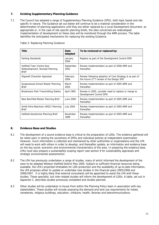#### **7. Existing Supplementary Planning Guidance**

7.1 The Council has adopted a range of Supplementary Planning Guidance (SPG); both topic based and site specific in nature. The Guidance set out below will continue to be a material consideration in the determination of planning applications until they are either replaced by a Local Development Document, as appropriate or, in the case of site specific planning briefs, the sites concerned are redeveloped. Implementation of development on these sites will be monitored through the AMR process. The table identifies the anticipated mechanisms for replacing the existing Guidance.

| <b>Title</b>                                                                        | Date<br>Adopted   | To be reviewed or replaced by:                                                                            |
|-------------------------------------------------------------------------------------|-------------------|-----------------------------------------------------------------------------------------------------------|
| Parking Standards                                                                   | January<br>2004   | Replace as part of the Development Control DPD                                                            |
| <b>Hatfield Town Centre East</b><br>Redevelopment, Revised Planning<br><b>Brief</b> | September<br>2002 | Review implementation as part of 2006 AMR and<br>thereafter.                                              |
| Digswell Character Appraisal                                                        | February<br>2004  | Review following adoption of Core Strategy & as part of<br>the future $(2^{nd})$ review of the Design SPD |
| Queenswood School Master Planning<br><b>Brief</b>                                   | March<br>2003     | Review implementation as part of 2005 AMR and<br>thereafter.                                              |
| Brookmans Park Transmitting Station                                                 | April 1995        | Review in 2005, consider need to replace or merge to<br>Development Control DPD                           |
| New Barnfield Master Planning Brief                                                 | June 2000         | Review implementation as part of 2005 AMR and<br>thereafter.                                              |
| Smith Kline Beecham (WGC) Planning<br><b>Brief</b>                                  | <b>July 2004</b>  | Review implementation as part of 2005 AMR and<br>thereafter.                                              |
| Hatfield Aerodrome Planning Brief                                                   | November<br>1999  | Review implementation as part of 2005 AMR and<br>thereafter.                                              |

Table 2: Replacing Planning Guidance

#### **8. Evidence Base and Studies**

- 8.1 The development of a sound evidence base is critical to the preparation of LDDs. The evidence gathered will be relied upon in testing the soundness of DPDs and individual policies at independent examination. However, much information is collected and maintained by other authorities or organisations and the LPA will need to work with others in order to develop, and thereafter update, an information and evidence base on the key social, economic and environmental characteristics of the area. In preparing the evidence base, LPAs must also prepare a sustainability scoping report (see section 9 for sustainability appraisals and strategic environmental assessments).
- 8.2 The LPA has previously undertaken a range of studies, many of which informed the development of the soon to be adopted Welwyn Hatfield District Plan 2005. Subject to sufficient financial resources being available, the LPA's projected timetables for LDD production and the availability of up-to-date information, the LPA proposes either to update or undertake new studies in the financial years 2005/2006 and 2006/2007. It is highly likely that external consultants will be appointed to assist the LPA with these studies. These specialist, but inter-related studies will inform the development of LDDs. A table, set out in Appendix C, describes studies previously completed and studies planned.
- 8.3 Other studies will be undertaken in-house from within the Planning Policy team in association with key stakeholders. These studies will include assessing the demand and land use requirements for hotels, cemeteries, religious buildings, education, childcare, health, libraries and telecommunications.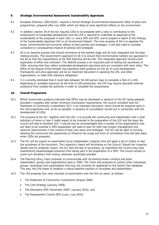#### **9. Strategic Environmental Assessment/Sustainability Appraisals**

- 9.1 European Directive, 2001/42/EC, requires a formal Strategic Environmental Assessment (SEA) of plans and programmes, prepared after July 2004, which are likely to have significant effects on the environment.
- 9.2 In addition, section 39 of the Act requires LDDs to be prepared with a view to contributing to the achievement of sustainable development and the LPA is required to undertake an appraisal of the sustainability of the proposals in each LDD i.e. every DPD and SPD, and to prepare a report of the findings of the Sustainability Appraisal (SA) in an Environment Report. The main purpose of SA is to appraise the social, environmental and economic effects of plan policies and strategies. It will also need to consider cumulative or consequential impacts of policies and strategies.
- 9.3 SA is an iterative process that should commence at the earliest stage and be fully integrated into the planmaking process. The Government's approach to SA is to ensure that environmental matters are appraised in the SA so that the requirements of the SEA Directive will be met. This integrated approach should avoid duplication of effort and confusion. The SEA/SA process is an important part of testing the soundness of LDDs, ensuring that they reflect sustainable development objectives and are consistent with each other. The Office of the Deputy Prime Minister has published draft guidance on the SA of Local Development Frameworks and once approved, will be an important document in assisting the LPA, and other organisations, to meet their statutory obligations.
- 9.4 It is currently estimated that it could take between 50-100 person days to complete a SEA of a LDD. Depending on available resources at the time of LDD production, the LPA may require specialist external assistance from outside the authority in order to complete the assessments.

#### **10. Overall Programme**

- 10.1 Whilst Government guidance indicates that DPDs may be developed in advance of the SCI being adopted, provided it complies with certain minimum consultation requirements, the Council considers that the Statement of Community Involvement (SCI) is an important document, which should be prepared early in the LDS programme and, as far as possible, in advance of consultation carried out in connection with the development of LDDs.
- 10.2 The purpose of the SCI, together with the LDS, is to provide the community and stakeholders with a clear indication of when or how it might expect to be involved in the preparation of the LDF and the steps the Council will take to facilitate this. It should also be acknowledged that a number of the organisations that are likely to be involved in DPD preparation will need to plan for their own project management and resource requirements in the context of their own plans and strategies. The SCI will be open to scrutiny, allowing the community the opportunity to influence the scope and form of consultation that will take place when LDDs are prepared.
- 10.3 The SCI will be subject to examination by an independent Inspector who will apply a set of criteria to test the soundness of the document. The Inspector's report will be binding on the Council. Should the Inspector decide that for whatever reason, the SCI fails the test of soundness, by implication the Council may have inadvertently disadvantaged someone from taking part in the preparation of a DPD. The Council wishes to avoid such situations from arising, wherever practicably possible.
- 10.4 The Planning Policy Team proposes to communicate with all existing known contacts and other stakeholders, groups and organisations early in 2005. The Team also proposes to contact other individuals, groups, businesses and organisations that may not currently be registered on the District Plan database. This way, the LPA hopes to establish a robust baseline position of consultees and stakeholders.
- 10.5 The LPA proposes four main tranches of examination over the first six years, as follows:
	- The Statement of Community Involvement (August 2006),
	- The Core Strategy (January 2009),
	- The Allocations DPD (December 2009 / January 2010), and
	- The Development Control DPD (June / July 2010).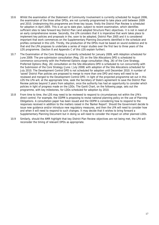- 10.6 Whilst the examination of the Statement of Community Involvement is currently scheduled for August 2006, the examination of the three other DPDs, are not currently programmed to take place until between 2009 and 2010. Underpinning this programme are three key issues; firstly the District Plan Review is scheduled for adoption in April 2005. This is an up to date plan, subject to recent examination, which identifies sufficient sites to take forward key District Plan (and adopted Structure Plan) objectives. It is not in need of an early comprehensive review. Secondly, the LPA considers that it is imperative that work takes place to implement key policies and proposals in the, soon to be adopted, District Plan 2005 and it is considered important that work commences on the Supplementary Planning Documents identified in the schedule and profiles contained in this LDS. Thirdly, the production of the DPDs must be based on sound evidence and to that end the LPA proposes to undertake a series of major studies over the first two to three years of the LDS programme. (Section 8 and Appendix C of this LDS explain further).
- 10.7 The Examination of the Core Strategy is currently scheduled for January 2009, with Adoption scheduled for June 2009. The pre-submission consultation (Reg. 25) on the Site Allocations DPD is scheduled to commence concurrently with the Preferred Options stage consultation (Reg. 26) of the Core Strategy. Preferred Options (Reg. 26) consultation on the Site Allocations DPD is scheduled to run concurrently with the Submission of the Core Strategy (June / July 2008) with adoption of the Site Allocations scheduled for July 2010. The Development Control DPD is not scheduled for adoption until December 2010. A number of 'saved' District Plan policies are proposed to merge to more than one DPD and many will need to be reviewed and merged to the Development Control DPD. In light of the projected programme set out in this LDS the LPA will, at the appropriate time, seek the Secretary of State's agreement to save the District Plan Review policies beyond 3 years from adoption, once the authority has had an opportunity to consider which policies in light of progress made on the LDDs. The Gantt Chart, on the following page, sets out the programme, with key milestones, for LDDs scheduled for adoption by 2010.
- 10.8 From time to time, the LDS may need to be reviewed to respond to circumstances not within the LPA's direct control. For example, the ODPM is proposing to revise national planning policy on the use of Planning Obligations. A consultation paper has been issued and the ODPM is considering how to respond to the responses received in addition to the matters raised in the 'Barker Report'. Should the Government decide to issue new guidance and/or introduce new regulatory measures, and then the LPA will need to consider how and when it will need to respond to such changes. It may decide that it wishes to bring forward a Supplementary Planning Document but in doing so will need to consider the impact on other planned LDDs.
- 10.9 Similarly, should the AMR highlight that key District Plan Review objectives are not being met, the LPA will reconsider the timing of relevant DPDs as appropriate.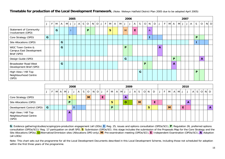#### **Timetable for production of the Local Development Framework.** (Note: Welwyn Hatfield District Plan 2005 due to be adopted April 2005)

|                                                             | 2005 |   |   |   |   |  |   |   | 2006 |              |   |   |  |              |              |              |   | 2007 |  |   |    |              |   |             |   |   |   |              |   |              |          |   |   |              |       |
|-------------------------------------------------------------|------|---|---|---|---|--|---|---|------|--------------|---|---|--|--------------|--------------|--------------|---|------|--|---|----|--------------|---|-------------|---|---|---|--------------|---|--------------|----------|---|---|--------------|-------|
|                                                             |      | F | M | A | M |  | J | A | S    | $\mathsf{O}$ | N | D |  | $\mathsf{F}$ | M            | $\mathsf{A}$ | M |      |  | Α | S. | $\mathsf{O}$ | N | $\mathsf D$ |   | F | M | $\mathsf{A}$ | M | $\mathsf{J}$ | $J \mid$ | A | S | $\mathsf{O}$ | $N$ D |
| Statement of Community<br>Involvement (DPD)                 |      |   | G |   |   |  |   |   |      | P            |   |   |  |              | $\mathsf{S}$ |              |   | M    |  | E |    |              | A |             |   |   |   |              |   |              |          |   |   |              |       |
| Core Strategy (DPD)                                         | G    |   |   |   |   |  |   |   |      |              |   |   |  |              |              |              |   |      |  |   |    |              |   |             |   |   |   |              |   |              |          |   | P |              |       |
| Site Allocations (DPD)                                      |      |   |   | G |   |  |   |   |      |              |   |   |  |              |              |              |   |      |  |   |    |              |   |             |   |   |   |              |   |              |          |   |   |              |       |
| WGC Town Centre &<br>Campus East Development<br>Brief (SPD) |      |   |   | G |   |  |   |   |      |              |   |   |  |              |              |              |   | D    |  |   |    |              |   |             | A |   |   |              |   |              |          |   |   |              |       |
| Design Guide (SPD)                                          |      |   |   |   |   |  |   |   |      |              |   |   |  |              |              |              |   | G.   |  |   |    |              |   |             |   |   |   | P            |   |              |          |   |   | A            |       |
| <b>Broadwater Road West</b><br>Development Brief (SPD)      |      |   |   | G |   |  |   |   |      |              |   |   |  |              |              |              |   |      |  |   |    | P            |   |             |   |   |   | $\mathbf{A}$ |   |              |          |   |   |              |       |
| High View / Hill Top<br>Neighbourhood Centre<br>(SPD)       |      |   |   |   |   |  |   |   |      |              |   |   |  |              |              |              |   |      |  |   | G  |              |   |             |   |   |   |              |   |              |          |   | Þ |              |       |

|                                                       |   | 2008 |   |  |     |   |  |             | 2009 |                |  |     |  |                                          |  |  |  | 2010         |  |  |   |             |       |              |  |   |  |  |               |   |  |  |                     |
|-------------------------------------------------------|---|------|---|--|-----|---|--|-------------|------|----------------|--|-----|--|------------------------------------------|--|--|--|--------------|--|--|---|-------------|-------|--------------|--|---|--|--|---------------|---|--|--|---------------------|
|                                                       |   |      | M |  | A M |   |  | $J$ $J$ $A$ | S    | $\overline{O}$ |  | NDJ |  | $F$   M $ A$   M $ J$ $ J$ $ A$ $ S$ $ $ |  |  |  |              |  |  |   |             | O N D | $\mathsf{J}$ |  |   |  |  | $F$ M A M J J |   |  |  | $A$ $S$ $O$ $N$ $D$ |
| Core Strategy (DPD)                                   |   |      |   |  |     | S |  |             |      | M              |  | E   |  |                                          |  |  |  | $\mathbf{A}$ |  |  |   |             |       |              |  |   |  |  |               |   |  |  |                     |
| Site Allocations (DPD)                                |   |      |   |  |     | D |  |             |      |                |  |     |  |                                          |  |  |  |              |  |  | M |             |       |              |  |   |  |  |               | А |  |  |                     |
| Development Control (DPD)                             | G |      |   |  |     |   |  |             |      |                |  |     |  | D                                        |  |  |  |              |  |  |   | $\sim$<br>э |       |              |  | M |  |  | Ε             |   |  |  | A                   |
| High View / Hill Top<br>Neighbourhood Centre<br>(SPD) |   |      |   |  |     | A |  |             |      |                |  |     |  |                                          |  |  |  |              |  |  |   |             |       |              |  |   |  |  |               |   |  |  |                     |

**G**: Evidence gathering/studies/scoping/pre-production engagement (all LDDs), **I**: Reg. 25, issues and options consultation (DPDs/SCI), **P**: Regulation 26, preferred options consultation (DPDs/SCI)/ Reg. 17 particpation on draft SPD, **S**: Submission (DPDs/SCI; this stage includes the submission of the Proposals Map for the Core Strategy and the Site Allocations DPDs), O:Alternative/Ommision sites (Allocations DPD only), **M**: Pre-examination meeting (DPDs/SCI), **E**: Independent Examination (DPDs/SCI), **A**: Adoption (all LDDs)

Note: This chart sets out the programme for all the Local Development Documents described in this Local Development Scheme, including those not scheduled for adoption within the first three years of the programme.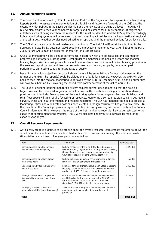#### **11. Annual Monitoring Reports**

- 11.1 The Council will be required by S35 of the Act and Part 8 of the Regulations to prepare Annual Monitoring Reports (AMRs) to assess the implementation of this LDS (and future role forwards pf the LDS) and the extent to which policies in the saved District Plan and the new LDDs are being achieved. The AMR will review plan progress each year compared to targets and milestones for LDD preparation. If targets and milestones are not being met then the reasons for this must be identified and the LDS updated accordingly. Robust monitoring systems will be required to assess what impact policies are having on national, regional and local targets, whether policies need adjusting or replacing and the proposed actions for achieving this.
- 11.2 The ODPM has recently published guidance on monitoring. The first full AMR must be submitted to the Secretary of State by 31 December 2006 covering the preceding monitoring year 1 April 2005 to 31 March 2006. Future AMRs must be prepared, thereafter, on a similar basis.
- 11.3 Crucial to monitoring will be a set of performance indicators which are objective led and can monitor progress against targets. Existing draft ODPM guidance emphasises the need to prepare and monitor housing trajectories. A housing trajectory should demonstrate how policies will deliver housing provision in the area and report on past and likely future performance on housing supply by comparing past performance on housing supply to future rates of supply.
- 11.4 Beyond the principal objectives described above there will be some latitude for local judgement on the format of the AMR. The report(s) could be divided thematically for example. However, the AMR will also need to feed into the regional monitoring undertaken by the RPB. In December 2005, planning authorities will have to submit an AMR covering the period from commencement of the Act to April 2005.
- 11.5 The Council's existing housing monitoring system requires further development so that the housing trajectories can be monitored in greater detail to cover matters such as dwelling size, location, density, previous use of land etc. Development of the monitoring system for employment land and buildings and retail floor space will also require focussing of resources. Monitoring also requires staff to carry out regular surveys, check and input information and manage reporting. The LPA has identified the need to employ a Monitoring Officer and a dedicated post has been created, although recruitment has yet to take place. In the meantime, the Council proposes to report as fully as it can by working with others such as the County Council Information Unit. However, the scope of the first monitoring report is likely to be restricted to the capacity of existing monitoring systems. The LPA will use best endeavours to increase its monitoring capacity year on year.

#### **12. Overall Resource Requirements**

12.1 At this early stage it is difficult to be precise about the overall resource requirements required to deliver the schedule of documents and studies described in this LDS. However, in summary, the estimated costs (financially) over a three to five year period are as follows:

| <b>Item</b>                                                                             | Assumptions                                                                                                                                                                                                                       | <b>Estimated cost</b> |
|-----------------------------------------------------------------------------------------|-----------------------------------------------------------------------------------------------------------------------------------------------------------------------------------------------------------------------------------|-----------------------|
| Costs associated with Independent<br>Examinations (over five years)                     | Include costs associated with: PINS, based on recent<br>District Plan PLI, Legal Representation (barrister, solicitor,<br>Queens Counsel, as appropriate), contingency for High<br>Court challenge, Programme Officer, Room Hire. | £326,861              |
| Costs associated with Consultation<br>(over three years)                                | Include publishing public notices, document production,<br>room hire, display equipment, transport costs                                                                                                                          | £69,000               |
| Establishing an Evidence Base (over<br>two to three years)                              | Estimates for Employment, Retail, Open Space & Leisure,<br>Housing Capacity Studies and work associated with the<br>production of SPDs (all subject to tender processes)                                                          | £250,000              |
| Strategic Environmental Appraisals /<br>Sustainability Appraisals (over three<br>years) | ODPM estimates between 50-100 person days required<br>per LDD. Allow for the commencement of SEA/SA process<br>for a maximum of six LDDs in the first three years<br>(including SPDs). (All subject to tender processes).         | £225,000              |
| Employing specialist consultants<br>(generally) on LDDs (over three years)              | Allow for database design for community involvement &<br>monitoring systems, graphic design & document<br>production.                                                                                                             | £60,000               |
| Total                                                                                   |                                                                                                                                                                                                                                   | £930,861              |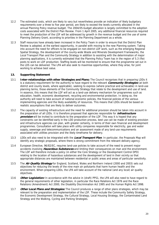- 12.2 The estimated costs, which are likely to vary but nevertheless provide an indication of likely budgetary requirements over a three to five year period, are likely to exceed the levels currently allocated in the annual Planning Policy revenue budget. The 2004/05-budget allocation is largely committed to the adoption costs associated with the District Plan Review. From 1 April 2005, any additional financial resources required to meet the production of the LDF will be addressed by growth in the revenue budget and the use of some Planning Delivery Grant, according to priorities in the Planning Department as a whole.
- 12.3 Staff resources have already been increased in the Policy Team in order to ensure that the District Plan Review is adopted, at the earliest opportunity, in parallel with moving to the new Planning system. Taking into account the need for officers to be engaged on non-district LDF work, such as the emerging Regional Spatial Strategy, the development of the county-wide Waste and Minerals Development Frameworks, the Local Transport Plan and the Community Strategy in addition to assisting with the determination of major planning applications, it is currently estimated that the Planning Policy Team has in the region of 5.3 (fte) posts to work on LDF production. Staffing levels will be monitored to ensure that the programme set out in the LDS can be delivered. The LPA will also seek to maximise opportunities, where they arise, for joint working to achieve best value.

#### **13. Supporting Statement**

- 13.1 **Inter-relationships with other Strategies and Plans:** The Council recognises that in preparing LDDs it is a statutory requirement for the authority to have regard to the relevant **Community Strategies** (at both district and county levels, where applicable), seeking to express (where practical and achievable) in land-use planning terms, those elements of the Community Strategy that relate to the development and use of land. In essence, this means that the LDF will act as a land-use delivery mechanism for programmes such as education, health, economic development, recycling and environmental protection. In doing so, the authority will need to take account of national economic policies, the financial policies of the various implementing agencies and the likely availability of resources. This means that LDDs should be based on realistic assumptions that are likely to deliver outcomes.
- 13.2 The capacity of existing infrastructure and the need for additional provision should be taken into account in the preparation of all LDDs. It is therefore proposed that agencies responsible for **infrastructure provision** will be invited to contribute to the preparation of the LDF. This way it is hoped that any constraints can be identified early in the LDD production process, best use can be made of existing provision and infrastructure agencies can plan, with greater certainty, in terms of their own financial and development programmes. Consultation will take place with utility companies responsible for electricity, gas and water supply, sewerage and telecommunications and an assessment made of any land-use requirements associated with utilities provision and the likely timeframe for delivery.
- 13.3 LDDs will also need to be integrated with the **Local Transport Plan**. In particular, the Proposals Map will identify any strategic proposals, where there is strong commitment from the relevant delivery agency.
- 13.4 European Directive, 96/82/EC, requires land-use policies to take account of the need to prevent major accidents involving **Hazardous Substances** and limiting their consequences on man and the environment. The LDF will therefore include a policy (in either the Core Strategy or the Development Control DPD) relating to the location of hazardous substances and the development of land in their vicinity so that appropriate distances are maintained between residential or public areas and areas of particular sensitivity.
- 13.5 The **Air Quality Strategy** for England, Scotland, Wales and Northern Ireland (2000 and 2003) sets out objectives for reducing the levels of the nine main air pollutants that harm human health and the environment. When preparing LDDs, the LPA will take account of the national (and any local) air quality objectives.
- 13.6 **Other Legislation:** In accordance with the advice in (draft) PPS1, the LPA will also need to have regard to the general requirements of other legislation, in particular the Race Relations Act 1976 and the Race Relations (Amendment) Act 2000, the Disability Discrimination Act 1995 and the Human Rights Act 1998.
- 13.7 **Other Local Plans and Strategies:** The Council produces a range of other plans strategies, which may be relevant to the preparation and implementation of the LDF. These include the Community Safety Strategy, the Economic Development Strategy, the Cultural Strategy, Local Housing Strategy, the Contaminated Land Strategy and the Walking, Cycling and Parking Strategies.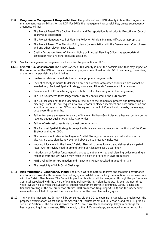- 13.8 **Programme Management Responsibilities:** The profiles of each LDD identify in brief the programme management responsibilities for the LDF. For DPDs the management responsibilities, unless subsequently amended, will be:
	- The Project Board: The Cabinet Planning and Transportation Panel prior to Executive or Council approval as appropriate.
	- The Project Manager: Head of Planning Policy or Principal Planning Officers as appropriate.
	- The Project Team: The Planning Policy team (in association with the Development Control team and any other relevant specialists).
	- Quality Assurance: Head of Planning Policy or Principal Planning Officers as appropriate (in association with any other relevant specialist)
- 13.9 Similar management arrangements will exist for the production of SPDs.
- **13.10 Overall Risk Assessment:** The profiles of each LDD identify in brief the possible risks that may impact on the production of the LDD and hence the overall programme outlined in this LDS. In summary, those risks, and other strategic risks are identified as:
	- Unable to retain or recruit staff with the appropriate range of skills;
	- Lack of capacity in-house to deliver on time or diversion onto other priorities which cannot be avoided, e.g. Regional Spatial Strategy, Waste and Minerals Development Frameworks;
	- Development of IT monitoring systems fails to take place early on in the programme;
	- The SEA/SA process takes longer than currently anticipated in the LDD profiles;
	- The Council does not take a decision in time due to the democratic process and timetabling of meetings. Each DPD will require i.r.o. five reports to elected members and both submission and adoption documents (for DPDs) must be agreed by the Full Council which meets, on average, once every three months;
	- Failure to secure a meaningful award of Planning Delivery Grant placing a heavier burden on the revenue budget against other District priorities;
	- Failure of external consultants to meet programme(s);
	- The Regional Spatial Strategy is delayed with delaying consequences for the timing of the Core Strategy and other DPDs;
	- The development rates in the Regional Spatial Strategy increase and / or allocations to the districts increase significantly over and above those presently indicated;
	- Housing Allocations in the 'saved' District Plan fail to come forward and deliver at anticipated rates. AMR to review need to amend timing of Allocations DPD accordingly.
	- Introduction of further fundamental changes to national or regional planning policy requiring a response from the LPA which may result in a shift in priorities in LDD production;
	- PINS availability for examination and Inspector's Report received in good time; and
	- The possibility of High Court Challenge.
- 13.11 **Risk Mitigation / Contingency Plans:** The LPA is working hard to improve and maintain performance and to move forward with the new plan making system whilst twin tracking the adoption process associated with the District Plan Review. The Council hopes that its efforts will be recognised through the performance appraisal associated with the award of Planning Delivery Grant. A significant award, over the next three years, would help to meet the substantial budget requirement currently identified. Careful timing and financial profiling of the pre-production studies, LDD production (requiring SA/SEA) and the independent examinations will help to spread the financial burden of the new plan making system.
- 13.12 The Planning Inspectorate (PINS) will be consulted, via the GO, to examine its capacity to preside over the proposed examinations as set out in the Schedule of Documents set out in Section 5 and the LDD profiles set out in Section 6. The Council is aware that PINS are currently experiencing delays in bookings for hearings and inquiries. However, PINs have not, to the LPA's knowledge, announced whether or not its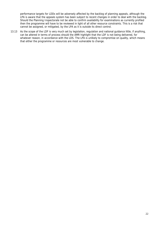performance targets for LDDs will be adversely affected by the backlog of planning appeals, although the LPA is aware that the appeals system has been subject to recent changes in order to deal with the backlog. Should the Planning Inspectorate not be able to confirm availability for examinations as currently profiled then the programme will have to be reviewed in light of all other resource constraints. This is a risk that cannot be assigned, or mitigated, by the LPA as it is outside its direct control.

13.13 As the scope of the LDF is very much set by legislation, regulation and national guidance little, if anything, can be altered in terms of process should the AMR highlight that the LDF is not being delivered, for whatever reason, in accordance with the LDS. The LPA is unlikely to compromise on quality, which means that either the programme or resources are most vulnerable to change.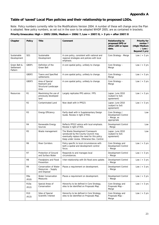**Appendix A** 

#### **Table of 'saved' Local Plan policies and their relationship to proposed LDDs.**

Note: Policy numbers currently refer to the Modifications Version 2004. A number of these will change once the Plan is adopted. New policy numbers, as set out in the soon to be adopted WHDP 2005, are as contained in brackets.

#### **Priority timescales: High = 2005/2006, Medium = 2006/7, Low = 2007/8, > 3 yrs = after 2007/8**

| Chapter                               | <b>Policy</b>              | <b>Title</b>                                                       | Comment                                                                                                                                                               | <b>Relationship to</b><br>proposed DPD or<br>other LDD or lapse<br>date. | <b>Priority for</b><br>review?<br>(High/Medium<br>$/$ Low $/$<br>Beyond 3 yrs) |
|---------------------------------------|----------------------------|--------------------------------------------------------------------|-----------------------------------------------------------------------------------------------------------------------------------------------------------------------|--------------------------------------------------------------------------|--------------------------------------------------------------------------------|
| Sustainable<br>Development            | SD <sub>1</sub>            | Sustainable<br>Development                                         | A core policy, consistent with national and<br>regional strategies and policies with local<br>emphasis.                                                               | Core Strategy - Merge                                                    | Low $/$ > 3 yrs                                                                |
| Green Belt &<br>Settlement<br>Pattern | GBSP1                      | Definition of the<br>Green Belt                                    | A core spatial policy, unlikely to change.                                                                                                                            | Core Strategy -<br>Merge                                                 | Low $/$ > 3 yrs                                                                |
|                                       | GBSP2                      | Towns and Specified<br>settlements                                 | A core spatial policy, unlikely to change.                                                                                                                            | Core Strategy -<br>Merge                                                 | Low $/$ > 3 yrs                                                                |
|                                       | GBSP3                      | Area of Special<br>Restraint and<br>Structural Landscape<br>Area   | A core spatial policy, unlikely to change.                                                                                                                            | Core Strategy -<br>Merge                                                 | Low $/$ > 3 yrs                                                                |
| Resources                             | R <sub>1</sub>             | Maximising the use of<br>previously developed<br>land              | Largely replicates PPG advice / PPS.                                                                                                                                  | Lapse: June 2010<br>(subject to SoS<br>agreement)                        | Low $/$ > 3 yrs                                                                |
|                                       | R <sub>2</sub>             | <b>Contaminated Land</b>                                           | Now dealt with in PPS23.                                                                                                                                              | Lapse: June 2010<br>(subject to SoS<br>agreement)                        | Low $/$ > 3 yrs                                                                |
|                                       | R <sub>3</sub>             | <b>Energy Efficiency</b>                                           | Partly dealt with in Supplementary Design<br>Guide. Review in light of RSS.                                                                                           | Core Strategy /<br>Development Control<br>- Merge, as<br>appropriate     | Low                                                                            |
|                                       | R4                         | Renewable Energy<br>Sources                                        | Reflects PPS22 advice with local emphasis.<br>Review in light of RSS.                                                                                                 | Development Control<br>- Merge                                           | Low                                                                            |
|                                       | R <sub>5</sub>             | Waste management                                                   | The Waste Development Framework<br>(produced by the County Council) may<br>eventually replace the need for this policy.<br>Keep under review. Otherwise Dev. Control. | Lapse: June 2010<br>(subject to SoS<br>agreement)                        | Low                                                                            |
|                                       | R6                         | <b>River Corridors</b>                                             | Policy specific to local circumstances with<br>both a spatial and development control<br>focus.                                                                       | Core Strategy and<br>Development Control<br>- Merge                      | Low $/$ > 3 yrs                                                                |
|                                       | R7                         | Protection of Ground<br>and Surface Water                          | Responds to and manages local<br>circumstances.                                                                                                                       | Development Control<br>- Merge                                           | Low $/$ > 3 yrs                                                                |
|                                       | R <sub>8</sub>             | Floodplains and Flood<br>Prevention                                | Inter-relationship with EA flood zone update.                                                                                                                         | Development Control<br>- Merge                                           | Low $/$ > 3 yrs                                                                |
|                                       | R9                         | <b>Conservation of Water</b><br>Resources - Supply<br>and Disposal | Places a requirement on development.                                                                                                                                  | Development Control<br>– Merge                                           | Low $/$ > 3 yrs                                                                |
|                                       | R <sub>9a</sub><br>(R10)   | Water Conservation<br><b>Measures</b>                              | Places a requirement on development.                                                                                                                                  | Development Control<br>- Merge                                           | Low $/$ > 3 yrs                                                                |
|                                       | R <sub>10</sub> a<br>(R12) | Special Areas of<br>Conservation                                   | Hierarchy to be defined in Core Strategy,<br>sites to be identified on Proposals Map.                                                                                 | Core Strategy and<br>Proposals Map -<br>Merge                            | Low $/$ > 3 yrs                                                                |
|                                       | <b>R10</b><br>(R13)        | Sites of Special<br>Scientific Interest                            | Hierarchy to be defined in Core Strategy,<br>sites to be identified on Proposals Map.                                                                                 | Core Strategy and<br>Proposals Map -<br>Merge                            | Low $/$ > 3 yrs                                                                |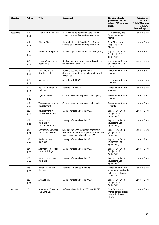| Chapter   | <b>Policy</b>            | <b>Title</b>                                                      | Comment                                                                                                                           | <b>Relationship to</b><br>proposed DPD or<br>other LDD or lapse<br>date.         | <b>Priority for</b><br>review?<br>(High/Medium<br>$/$ Low $/$<br>Beyond 3 yrs) |
|-----------|--------------------------|-------------------------------------------------------------------|-----------------------------------------------------------------------------------------------------------------------------------|----------------------------------------------------------------------------------|--------------------------------------------------------------------------------|
| Resources | R <sub>11</sub><br>(R14) | <b>Local Nature Reserves</b>                                      | Hierarchy to be defined in Core Strategy,<br>sites to be identified on Proposals Map.                                             | Core Strategy and<br>Proposals Map -<br>Merge                                    | Low $/$ > 3 yrs                                                                |
|           | R <sub>12</sub><br>(R15) | <b>Wildlife Sites</b>                                             | Hierarchy to be defined in Core Strategy,<br>sites to be identified on Proposals Map.                                             | Core Strategy and<br>Proposals Map -<br>Merge                                    | Low $/$ > 3 yrs                                                                |
|           | R <sub>13</sub><br>(R16) | Protection of Species                                             | Reflects legislative controls and PPS (draft).                                                                                    | Lapse: June 2010<br>(subject to SoS<br>agreement)                                | Low $/$ > 3 yrs                                                                |
|           | R <sub>14</sub><br>(R17) | Trees, Woodland and<br>Hedgerows                                  | Deals in part with procedures. Operates in<br>tandem with Policy D3c.                                                             | Development Control<br>and Design Guide -<br>merge                               | Low $/$ > 3 yrs                                                                |
|           | R <sub>15</sub><br>(R11) | Biodiversity and<br>Development                                   | Places a positive requirement on<br>development and operates in tandem with<br>Policy D3c.                                        | Development Control<br>- merge                                                   | Low $/$ > 3 yrs                                                                |
|           | R <sub>16</sub><br>(R18) | Air Quality                                                       | Accords with PPS23.                                                                                                               | Development Control<br>- merge                                                   | Low $/$ > 3 yrs                                                                |
|           | R <sub>17</sub><br>(R19) | Noise and Vibration<br>Pollution                                  | Accords with PPG24.                                                                                                               | Development Control<br>- merge                                                   | Low $/$ > 3 yrs                                                                |
|           | R <sub>18</sub><br>(R20) | Light Pollution                                                   | Criteria based development control policy.                                                                                        | Development Control<br>- merge                                                   | Low $/$ > 3 yrs                                                                |
|           | R <sub>19</sub><br>(R21) | Telecommunications<br>Development                                 | Criteria based development control policy.                                                                                        | Development Control<br>- merge                                                   | Low $/$ > 3 yrs                                                                |
|           | <b>R20</b><br>(R22)      | Development in<br><b>Conservation Areas</b>                       | Largely reflects advice in PPG15.                                                                                                 | Lapse: June 2010<br>(subject to SoS<br>agreement)                                | Low $/$ > 3 yrs                                                                |
|           | R <sub>21</sub><br>(R23) | Demolition of<br><b>Buildings in</b><br><b>Conservation Areas</b> | Largely reflects advice in PPG15.                                                                                                 | Lapse: June 2010<br>(subject to SoS<br>agreement)                                | Low $/$ > 3 yrs                                                                |
|           | R <sub>22</sub><br>(R24) | <b>Character Appraisals</b><br>and Enhancements                   | Sets out the LPAs statement of intent in<br>relation to a statutory responsibility and the<br>use of powers available to the LPA. | Lapse: June 2010<br>(subject to SoS<br>agreement)                                | Low $/$ > 3 yrs                                                                |
|           | R <sub>23</sub><br>(R25) | Works to Listed<br><b>Buildings</b>                               | Largely reflects advice in PPG15.                                                                                                 | Lapse: June 2010<br>(subject to SoS<br>agreement)                                | Low $/$ > 3 yrs                                                                |
|           | <b>R24</b><br>(R26)      | Alternatives Uses for<br><b>Listed Buildings</b>                  | Largely reflects advice in PPG15.                                                                                                 | Lapse: June 2010<br>(subject to SoS<br>agreement)                                | Low $/$ > 3 yrs                                                                |
|           | <b>R25</b><br>(R27)      | Demolition of Listed<br><b>Buildings</b>                          | Largely reflects advice in PPG15.                                                                                                 | Lapse: June 2010<br>(subject to SoS<br>agreement)                                | Low $/$ > 3 yrs                                                                |
|           | R <sub>26</sub><br>(R28) | Historic Parks and<br>Gardens                                     | Accords with advice in PPG15.                                                                                                     | Development Control<br>- merge but review in<br>light of any changes<br>to PPG15 | Low $/$ > 3 yrs                                                                |
|           | R <sub>27</sub><br>(R29) | Archaeology                                                       | Largely reflects advice in PPG16.                                                                                                 | Lapse: June 2010<br>(subject to SoS<br>agreement)                                | Low $/$ > 3 yrs                                                                |
| Movement  | M1                       | <b>Integrating Transport</b><br>and Land Use                      | Reflects advice in draft PPS1 and PPG13.                                                                                          | Core Strategy -<br>merge part and lapse<br>where duplicates<br>PPG/S             | Low $/$ > 3 yrs                                                                |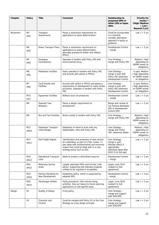| Chapter  | <b>Policy</b>          | <b>Title</b>                             | Comment                                                                                                                                                                                                                | Relationship to<br>proposed DPD or<br>other LDD or lapse<br>date.                                                        | <b>Priority for</b><br>review?<br>(High/Medium<br>$/$ Low $/$<br>Beyond 3 yrs) |
|----------|------------------------|------------------------------------------|------------------------------------------------------------------------------------------------------------------------------------------------------------------------------------------------------------------------|--------------------------------------------------------------------------------------------------------------------------|--------------------------------------------------------------------------------|
| Movement | M <sub>3</sub><br>(M2) | Transport<br>Assessments                 | Places a submission requirement on<br>applications to assist determination.                                                                                                                                            | Could be incorporated<br>in a checklist,<br>consider alternative<br>approach in policy or<br>guidance                    | Low $/$ > 3 yrs                                                                |
|          | M4<br>(M3)             | Green Transport Plans                    | Places a submission requirement on<br>applications to assist determination,<br>describes procedural matter and reflects<br>PPG13.                                                                                      | Development Control<br>- merge                                                                                           | Low $/$ > 3 yrs                                                                |
|          | M5<br>(M4)             | Developer<br>Contributions               | Operates in tandem with Policy IM2 with<br>environmental focus.                                                                                                                                                        | Core Strategy -<br>merge with Policy IM2                                                                                 | Medium / High<br>depending on<br>ODPM review on<br>obligations                 |
|          | M <sub>6</sub><br>(M5) | Pedestrian Facilities                    | Partly operates in tandem with Policy IM2<br>and accords with advice in PPG13.                                                                                                                                         | Core Strategy -<br>merge in part with<br>Policy IM2 otherwise<br>Development Control                                     | In part, Medium<br>/ High depending<br>on ODPM review<br>on obligations        |
|          | M7<br>(M6)             | Cycle Routes and<br><b>Facilities</b>    | Accords with advice in PPG13 and places a<br>requirement on development to make certain<br>provisions. Operates in tandem with Policy<br>IM2.                                                                          | Core Strategy -<br>merge in part with<br>Policy IM2 otherwise<br>Development Control                                     | In part, Medium<br>/ High depending<br>on ODPM review<br>on obligations        |
|          | M7a<br>(M7)            | <b>Equestrian Facilities</b>             | Reflects local circumstances.                                                                                                                                                                                          | Development Control<br>$-$ merge                                                                                         | Low $/$ > 3 yrs                                                                |
|          | M8                     | Powered Two-<br>Wheelers                 | Places a design requirement on<br>development.                                                                                                                                                                         | Merge with review of<br>Car Parking Standards<br>SPG to Development<br>Control DPD                                       | Low $/$ > 3 yrs                                                                |
|          | M9                     | <b>Bus and Taxi Facilities</b>           | Works mostly in tandem with Policy IM2.                                                                                                                                                                                | Core Strategy -<br>merge with Policy IM2                                                                                 | Medium / High<br>depending on<br>ODPM review on<br>obligations                 |
|          | M12<br>(M10)           | Passenger Transport<br>Interchanges      | Statement of intent to work with key<br>stakeholders, links with Policy IM2.                                                                                                                                           | Core Strategy -<br>merge with Policy<br>IM2, otherwise delete                                                            | Medium / High<br>depending on<br>ODPM review on<br>obligations                 |
|          | M13<br>(M11)           | Rail Freight Depots                      | Identification and protection of sites should<br>be undertaken as part of a Plan review. In<br>part deals with environmental and economic<br>impact that could be dealt with in a core<br>strategy policy such as SD1. | Core Strategy -<br>merge in part.<br>Allocate site(s) if<br>appropriate,<br>otherwise lapse after<br>2010 (S to SoS agt) | Low $/$ > 3 yrs                                                                |
|          | M14<br>(M12)           | <b>Operational Transport</b><br>Land     | Seeks to protect a diminished resource.                                                                                                                                                                                | Development Control<br>- merge                                                                                           | Low $/$ > 3 yrs                                                                |
|          | M16<br>(M13)           | Motorway Service<br>Areas                | Largely replicates PPG2 and Circular 1/94<br>advice. Supporting text indicates proposal<br>unlikely to be required or acceptable.                                                                                      | Lapse: June 2010<br>(subject to SoS<br>agreement)                                                                        | Low $/$ > 3 yrs                                                                |
|          | M19<br>(M14)           | Parking Standards for<br>New Development | Establishes policy, which is supported by<br>adopted SPG.                                                                                                                                                              | Development Control<br>- merge                                                                                           | Low $/$ > 3 yrs                                                                |
|          | M20<br>(M15)           | Panshanger Airfield                      | Partly procedural. CAA controls flying<br>activities. Sets out stance to future planning<br>applications on site-specific basis.                                                                                       | Lapse: June 2010<br>(subject to SoS<br>agreement)                                                                        | Low $/$ > 3 yrs                                                                |
| Design   | D1                     | Quality of Design                        | A key policy.                                                                                                                                                                                                          | Core Strategy -<br>merge and support<br>with SDG/SPD                                                                     | Low $/$ > 3 yrs                                                                |
|          | D <sub>2</sub>         | Character and<br>Context                 | Could be merged with Policy D1 to the Core<br>Strategy as a key design principle.                                                                                                                                      | Core Strategy -<br>merge and support<br>with SDG/SPD                                                                     | Low $/$ > 3 yrs                                                                |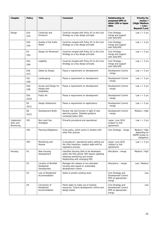| Chapter                               | <b>Policy</b>             | <b>Title</b>                                                | Comment                                                                                                                                                          | <b>Relationship to</b><br>proposed DPD or<br>other LDD or lapse<br>date.  | <b>Priority for</b><br>review?<br>(High/Medium<br>$/$ Low $/$<br>Beyond 3 yrs) |
|---------------------------------------|---------------------------|-------------------------------------------------------------|------------------------------------------------------------------------------------------------------------------------------------------------------------------|---------------------------------------------------------------------------|--------------------------------------------------------------------------------|
| Design                                | D <sub>2</sub> a<br>(D3)  | Continuity and<br>Enclosure                                 | Could be merged with Policy D1 to the Core<br>Strategy as a key design principle.                                                                                | Core Strategy -<br>merge and support<br>with SDG/SPD                      | Low $/$ > 3 yrs                                                                |
|                                       | D <sub>2</sub> b<br>(D4)  | Quality of the Public<br>Realm                              | Could be merged with Policy D1 to the Core<br>Strategy as a key design principle.                                                                                | Core Strategy -<br>merge and support<br>with SDG/SPD                      | Low $/$ > 3 yrs                                                                |
|                                       | D <sub>3</sub><br>(D5)    | Design for Movement                                         | Could be merged with Policy D1 to the Core<br>Strategy as a key design principle.                                                                                | Core Strategy -<br>merge and support<br>with SDG/SPD                      | Low $/$ > 3 yrs                                                                |
|                                       | D <sub>3</sub> a<br>(D6)  | Legibility                                                  | Could be merged with Policy D1 to the Core<br>Strategy as a key design principle.                                                                                | Core Strategy -<br>merge and support<br>with SDG/SPD                      | Low $/$ > 3 yrs                                                                |
|                                       | D <sub>3</sub> b<br>(D7)  | Safety by Design                                            | Places a requirement on development.                                                                                                                             | Development Control<br>- merge                                            | Low $/$ > 3 yrs                                                                |
|                                       | D <sub>3</sub> c<br>(D8)  | Landscaping                                                 | Places a requirement on development.                                                                                                                             | Development Control<br>- merge                                            | Low $/$ > 3 yrs                                                                |
|                                       | D <sub>3</sub> d<br>(D9)  | Access and Design for<br>People with<br><b>Disabilities</b> | Places a requirement on development.                                                                                                                             | Development Control<br>- merge                                            | Low $/$ > 3 yrs                                                                |
|                                       | D <sub>3</sub> e<br>(D10) | Public Art                                                  | Places a requirement on development.                                                                                                                             | Development Control<br>- merge                                            | Low $/$ > 3 yrs                                                                |
|                                       | D <sub>5</sub><br>(D11)   | Design Statements                                           | Places a requirement on applications.                                                                                                                            | Development Control<br>- merge                                            | Low $/$ > 3 yrs                                                                |
|                                       | D <sub>6</sub><br>(D12)   | Development Briefs                                          | Review role and function in light of new<br>planning system. Detailed guidance<br>contained within SDG.                                                          | Development Control<br>- merge                                            | Medium / High                                                                  |
| Implement-<br>ation and<br>Monitoring | IM <sub>1</sub>           | Non-Land Use<br>Strategies                                  | Primarily procedural and operational.                                                                                                                            | Lapse: June 2010<br>(subject to SoS<br>agreement)                         | Low $/$ > 3 yrs                                                                |
|                                       | IM <sub>2</sub>           | Planning Obligations                                        | A key policy, which works in tandem with<br>other Plan policies.                                                                                                 | Core Strategy - merge                                                     | Medium / High<br>depending on<br>ODPM review on<br>obligations                 |
|                                       | IM <sub>3</sub>           | Monitoring and<br>Review                                    | A procedural / operational policy setting out<br>the LPAs intentions, matters dealt with by<br>regulatory process.                                               | Lapse: June 2010<br>(subject to SoS<br>agreement)                         | Low $/$ > 3 yrs                                                                |
| Housing                               | H1                        | New Housing<br>Development                                  | Identifies Housing Sites to be developed<br>within the Plan period. Will require updating<br>following monitoring and review.<br>Relationship with emerging RSS. | Allocations - merge                                                       | Medium / High                                                                  |
|                                       | H2                        | Location of Windfall<br>Residential<br>Development          | Manages the release of non-allocated<br>housing sites based on sustainable<br>development criteria.                                                              | Allocations - merge                                                       | Low / Medium                                                                   |
|                                       | H <sub>3</sub>            | Loss of Residential<br>Accommodation                        | Seeks to protect existing stock.                                                                                                                                 | Core Strategy and<br>Development Control<br>DPD as appropriate -<br>merge | Low                                                                            |
|                                       | H4                        | Conversion of<br>Residential<br>Accommodation               | Partly seeks to make use of existing<br>resources. Criteria development control and<br>design based.                                                             | Core Strategy and<br>Development Control<br>DPD as appropriate -<br>merge | Low                                                                            |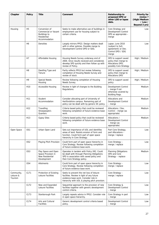| Chapter                            | <b>Policy</b>    | <b>Title</b>                                                                                        | Comment                                                                                                                                                                        | <b>Relationship to</b><br>proposed DPD or<br>other LDD or lapse<br>date.                   | <b>Priority for</b><br>review?<br>(High/Medium<br>/ Low /<br>Beyond 3 yrs) |
|------------------------------------|------------------|-----------------------------------------------------------------------------------------------------|--------------------------------------------------------------------------------------------------------------------------------------------------------------------------------|--------------------------------------------------------------------------------------------|----------------------------------------------------------------------------|
| Housing                            | H <sub>5</sub>   | Conversion of<br><b>Commercial or Vacant</b><br><b>Buildings to</b><br>Residential<br>Accommodation | Seeks to make alternative use of buildings in<br>employment use for housing subject to<br>certain criteria.                                                                    | Core Strategy and<br>Development Control<br>DPD as appropriate -<br>merge                  | Low                                                                        |
|                                    | H <sub>6</sub>   | Densities                                                                                           | Largely mirrors PPG3. Design matters dealt<br>with in other policies. Possible merge to<br>Development Control DPD or SDG.                                                     | Lapse: June 2010<br>(subject to SoS<br>agreement) or Dev.<br>Control DPD / SDG<br>merge    | Low                                                                        |
|                                    | H7               | Affordable Housing                                                                                  | Housing Needs Survey underway end of<br>2004. Once results received and considered,<br>develop SPD quickly and then follow up with<br>review of Policy.                        | SPD to support saved<br>policy then merge to<br>Allocations DPD,<br>possibly Core Strategy | High / Medium                                                              |
|                                    | H <sub>8</sub>   | Dwelling Type and<br>Tenure                                                                         | Partly reflects PPG3 but review following<br>completion of Housing Needs Survey and<br>review of stock.                                                                        | SPD to support saved<br>policy then merge to<br><b>Allocations DPD</b>                     | High / Medium                                                              |
|                                    | H <sub>9</sub>   | <b>Special Needs</b><br>Housing                                                                     | Review following completion of Housing<br>Needs Survey.                                                                                                                        | SPD to support saved<br>policy                                                             | High / Medium                                                              |
|                                    | H <sub>10</sub>  | Accessible Housing                                                                                  | Review in light of changes to the Building<br>Regulations.                                                                                                                     | Development Control<br>- merge if not<br>otherwise covered by<br>Building Regs.            | Medium                                                                     |
|                                    | H <sub>11</sub>  | Student<br>Accommodation                                                                            | Consider allocating part of University of<br>Hertfordshire campus. Remaining part of<br>policy can be dealt with by generic DC policy.                                         | Allocations and<br>Development Control<br>$-$ merge                                        | Medium                                                                     |
|                                    | H <sub>12</sub>  | Travelling<br>Showpeople's<br>Quarters                                                              | Criteria based policy that could be reviewed<br>following completion of future evidence base<br>work.                                                                          | Allocations / Dev.<br>Control - merge (as<br>appropriate)                                  | Medium                                                                     |
|                                    | H <sub>13</sub>  | <b>Gypsy Sites</b>                                                                                  | Criteria based policy that could be reviewed<br>following completion of future evidence base<br>work.                                                                          | Allocations /<br>Development Control<br>- merge (as<br>appropriate)                        | Medium                                                                     |
| Open Space                         | OS <sub>1</sub>  | Urban Open Land                                                                                     | Sets out importance of UOL and identifies<br>areas of land. Resists erosion of form and<br>function. Could form part of open space<br>hierarchy in Core Strategy.              | Part Core Strategy,<br>part Allocations -<br>merge / replace                               | Low                                                                        |
|                                    | OS <sub>2</sub>  | Playing Pitch Provision                                                                             | Could form part of open space hierarchy in<br>Core Strategy. Review following completion<br>of future evidence base work.                                                      | Core Strategy -<br>merge / replace                                                         | Low                                                                        |
|                                    | OS <sub>3</sub>  | Play Space and Open<br>Space Provision in<br>New Residential<br>Development                         | Operates in tandem with Policy IM2. Could<br>be dealt with through Planning Obligations<br>SPD in association with saved policy and<br>then Core Strategy policy.              | Planning Obligations<br>SPD and Core<br>Strategy - replace                                 | <b>Medium</b>                                                              |
|                                    | OS <sub>4</sub>  | Allotments                                                                                          | Could form part of open space hierarchy in<br>Core Strategy. Review following completion<br>of future evidence base work.                                                      | Core Strategy -<br>merge / replace                                                         | Low                                                                        |
| Community,<br>Leisure &<br>Tourism | CLT1             | Protection of Existing<br>Leisure Facilities                                                        | Seeks to prevent the net loss of leisure<br>facilities. Review in light of any future<br>evidence base work. Consider role in<br>hierarchy with UOL & playing pitch provision. | Core Strategy -<br>merge / replace                                                         | Low                                                                        |
|                                    | CLT <sub>2</sub> | New and Expanded<br>Leisure Facilities                                                              | Sequential approach to the provision of new<br>facilities together with generic development<br>control criteria.                                                               | Core Strategy &<br>Development Control<br>- merge                                          | Low                                                                        |
|                                    | CLT <sub>3</sub> | Stanborough Park                                                                                    | Largely repeats advice in PPG2. Consider role<br>in open space hierarchy.                                                                                                      | Core Strategy in part<br>- merge                                                           | Low                                                                        |
|                                    | CLT4             | Arts and Cultural<br>Facilities                                                                     | Generic development control criteria based<br>policy.                                                                                                                          | Development Control<br>- merge                                                             | Low                                                                        |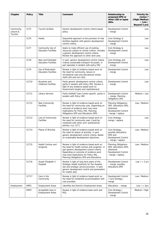| Chapter                            | <b>Policy</b>     | <b>Title</b>                                    | Comment                                                                                                                                                                                                                                                                 | <b>Relationship to</b><br>proposed DPD or<br>other LDD or lapse<br>date.                              | <b>Priority for</b><br>review?<br>(High/Medium<br>$/$ Low $/$<br>Beyond 3 yrs) |
|------------------------------------|-------------------|-------------------------------------------------|-------------------------------------------------------------------------------------------------------------------------------------------------------------------------------------------------------------------------------------------------------------------------|-------------------------------------------------------------------------------------------------------|--------------------------------------------------------------------------------|
| Community,<br>Leisure &<br>Tourism | CLT5              | <b>Tourist Facilities</b>                       | Generic development control criteria based<br>policy.                                                                                                                                                                                                                   | Development Control<br>- merge                                                                        | Low                                                                            |
|                                    | CLT6              | Hotels                                          | Sequential approach to the provision of new<br>facilities together with generic development<br>control criteria.                                                                                                                                                        | Core Strategy &<br>Development Control<br>$-$ merge                                                   | Low                                                                            |
|                                    | CLT7              | Community Use of<br><b>Education Facilities</b> | Seeks to make efficient use of existing<br>resources subject to certain criteria. Includes<br>a generic development control criteria.<br>Review this approach to other land uses.                                                                                       | Core Strategy &<br>Development control<br>$-$ merge                                                   | Low                                                                            |
|                                    | CLT8              | New and Extended<br><b>Education Facilities</b> | In part, generic development control criteria<br>(mainly sustainable transport focussed), in<br>part operates in tandem with policy IM2.                                                                                                                                | Core Strategy and<br>Development Control<br>$-$ merge                                                 | Low                                                                            |
|                                    | CLT9              | Use of Redundant<br><b>Education Facilities</b> | Review in light of evidence based work on<br>the need for community, leisure or<br>recreational uses and educational review<br>(both LEA and non-LEA).                                                                                                                  | Development Control<br>$-$ merge                                                                      | Low                                                                            |
|                                    | CLT <sub>10</sub> | Nurseries and<br><b>Childcare Facilities</b>    | Partly generic development control criteria,<br>partly in tandem with Policy IM2. Review in<br>light of any evidence based work on<br>Government targets and need/demand.                                                                                               | Development Control<br>$-$ merge                                                                      | Low                                                                            |
|                                    | CLT11             | <b>Library Services</b>                         | Partly Hatfield Town Centre specific, partly in<br>tandem with Policy IM2.                                                                                                                                                                                              | Development Control<br>- merge, Planning<br>Obligations SPD                                           | Medium / Low                                                                   |
|                                    | CLT12             | New Community<br><b>Facilities</b>              | Review in light of evidence based work on<br>the need for community uses. Depending on<br>outcome of evidence work may have<br>implications for Policy IM2, Planning<br>Obligations SPD and Allocations DPD.                                                            | Planning Obligations<br>SPD, Allocations DPD,<br>otherwise<br>Development Control<br>-merge / replace | Low / Medium                                                                   |
|                                    | CLT <sub>13</sub> | Loss of Community<br><b>Facilities</b>          | Review in light of evidence based work on<br>the need for community uses. Could be<br>combined with other such 'protectionist'<br>policies, e.g. CLT1.                                                                                                                  | Core Strategy -<br>merge / replace                                                                    | Low                                                                            |
|                                    | CLT14             | Places of Worship                               | Review in light of evidence based work on<br>the need for places of worship. In part<br>generic development control criteria. Based<br>on sustainable development objectives.                                                                                           | Core Strategy,<br>possibly Allocations<br>DPD and<br>Development Control<br>- merge / replace         | Low / Medium                                                                   |
|                                    | CLT15             | Health Centres and<br>Surgeries                 | Review in light of evidence based work on<br>the need for health centres and surgeries. In<br>part generic development control criteria.<br>Depending on outcome of evidence work<br>may have implications for Policy IM2,<br>Planning Obligations SPD and Allocations. | Planning Obligations<br>SPD, Allocations DPD,<br>otherwise<br>Development Control<br>-merge / replace | Low / Medium                                                                   |
|                                    | CLT <sub>16</sub> | Queen Elizabeth II<br>Hospital                  | Review in light of long term plans of the<br>Strategic Health Authority for the Hospital<br>site and strategic service provision. In part<br>generic development control and parameters<br>for master plan.                                                             | Development Control<br>- merge, possibly<br><b>Allocations DPD</b>                                    | Low $/$ > 3 yrs                                                                |
|                                    | CLT17             | Care in the<br>Community                        | Review in light of evidence based work on<br>the need for residential accommodation with<br>care provided.                                                                                                                                                              | Development Control<br>/ Core Strategy -<br>merge                                                     | Low / Medium                                                                   |
| Employment                         | EMP1              | <b>Employment Areas</b>                         | Identifies the District's Employment Areas.                                                                                                                                                                                                                             | Allocations - merge                                                                                   | Low $/$ > 3yrs                                                                 |
|                                    | EMP <sub>2</sub>  | Acceptable Uses in<br><b>Employment Areas</b>   | Review in light of evidence base work and<br>RSS.                                                                                                                                                                                                                       | Core Strategy /<br>Development Control<br>$-$ merge                                                   | Medium / High                                                                  |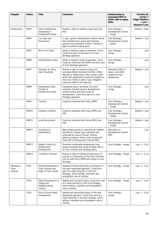| Chapter                        | <b>Policy</b>    | <b>Title</b>                                                     | Comment                                                                                                                                                                                                                                                            | <b>Relationship to</b><br>proposed DPD or<br>other LDD or lapse<br>date. | <b>Priority for</b><br>review?<br>(High/Medium<br>$/$ Low $/$<br>Beyond 3 yrs) |
|--------------------------------|------------------|------------------------------------------------------------------|--------------------------------------------------------------------------------------------------------------------------------------------------------------------------------------------------------------------------------------------------------------------|--------------------------------------------------------------------------|--------------------------------------------------------------------------------|
| Employment                     | EMP3             | Other Employment<br>Generating in<br><b>Employment Areas</b>     | Review in light of evidence base work and<br>RSS.                                                                                                                                                                                                                  | Core Strategy /<br>Development Control<br>$-$ merge                      | Medium / High                                                                  |
|                                | EMP4             | Car Sales and<br><b>Showrooms</b>                                | In part, generic development control criteria.<br>Also specifies floor space split between<br>primary and secondary function. Review in<br>light of evidence based work.                                                                                           | Core Strategy /<br>Development Control<br>- merge                        | Medium / Low                                                                   |
|                                | EMP <sub>5</sub> | Mix of Unit Sizes                                                | Seeks to balance range of premises / stock.<br>Could form part of the basis for a Core<br>Strategy approach.                                                                                                                                                       | Core Strategy -<br>merge                                                 | Low                                                                            |
|                                | EMP6             | <b>Small Business Units</b>                                      | Seeks to balance range of premises / stock.<br>Could be combined with EMP5 and form part<br>of Core Strategy approach.                                                                                                                                             | Core Strategy -<br>merge                                                 | Low                                                                            |
|                                | EMP7             | Provision for 'Dirty<br>User' Industries                         | Review in light of evidence base and<br>emerging Waste Development Plan. Either<br>allocate or delete policy after 3 years, after<br>which time applications would be treated on<br>their own merits in light of any mitigation<br>measures likely to be required. | Allocations DPD or<br>lapse: June 2010<br>(subject to SoS<br>agreement)  | Medium / Low                                                                   |
|                                | EMP8             | <b>Employment Sites</b><br>Outside of<br><b>Employment Areas</b> | Composite policy, promotes live-work<br>schemes, includes generic development<br>control criteria and limits scale of<br>development. Could form part of a Core<br>Strategy approach.                                                                              | Core Strategy -<br>merge                                                 | Low                                                                            |
|                                | EMP9             | Training                                                         | Could be combined with Policy EMP2.                                                                                                                                                                                                                                | Core Strategy /<br>Development Control<br>$-$ merge                      | Medium / Low                                                                   |
|                                | EMP10            | <b>Childcare Facilities</b>                                      | Could be combined with Policy EMP2 and<br>IM2.                                                                                                                                                                                                                     | Core Strategy /<br>Development Control<br>$-$ merge                      | Medium / Low                                                                   |
|                                | EMP11            | Local Recruitment                                                | Could be combined with Policy EMP2 and<br>IM2.                                                                                                                                                                                                                     | Core Strategy /<br>Development Control<br>$-$ merge                      | Medium / Low                                                                   |
|                                | EMP12            | University of<br>Hertfordshire                                   | New campus facility in operation at Hatfield<br>Aerodrome. Master plan submitted and<br>endorsed by Council (Panel). Monitor<br>delivery progress. Policy could merge with<br>Policy D6 to Development Control DPD.                                                | Allocations or<br>Development Control<br><b>DPD</b>                      | Low                                                                            |
|                                | EMP13            | Design Criteria for<br>Employment<br>Development                 | Promotes sustainable development and<br>design principles that could be dealt with in<br>an over arching Core Strategy policy.                                                                                                                                     | Core Strategy - merge                                                    | Low $/$ > 3 yrs                                                                |
|                                | EMP14            | Live-Work Schemes                                                | Review in light of evidence based work on<br>success (or otherwise) of live-work schemes.<br>Join up with Policy EMP8 and merge to Core<br>Strategy.                                                                                                               | Core Strategy - merge                                                    | Low $/$ > 3 yrs                                                                |
| Retailing &<br>Town<br>Centres | TCR1             | Retail Development in<br>Town Centres and<br>Edge of Town Centre | Spatial and hierarchical policy framework in<br>line with sequential approach. Could form<br>part of a retail hierarchy in the Core<br>Strategy, which defines, maintains and<br>strengthens role of centres.                                                      | Core Strategy - merge                                                    | Low $/$ > 3 yrs                                                                |
|                                | TCR <sub>2</sub> | Retail Development in<br>Village and<br>Neighbourhood<br>Centres | Spatial and functional policy. Could form part<br>of a retail hierarchy in the Core Strategy,<br>which defines, maintains and strengthens<br>role of centres.                                                                                                      | Core Strategy - merge                                                    | Low $/$ > 3 yrs                                                                |
|                                | TCR3             | Out of Centre Retail<br>Development                              | Spatial and hierarchical policy in line with<br>sequential approach. Could form part of a<br>retail hierarchy in the Core Strategy, which<br>defines, maintains and strengthens role of<br>centres.                                                                | Core Strategy -<br>merge                                                 | Low $/$ > 3 yrs                                                                |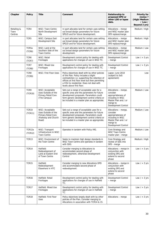| Chapter                        | <b>Policy</b>               | <b>Title</b>                                                                                  | Comment                                                                                                                                                                                                                                                                | <b>Relationship to</b><br>proposed DPD or<br>other LDD or lapse<br>date.                                                              | <b>Priority for</b><br>review?<br>(High/Medium<br>$/$ Low $/$<br>Beyond 3 yrs) |
|--------------------------------|-----------------------------|-----------------------------------------------------------------------------------------------|------------------------------------------------------------------------------------------------------------------------------------------------------------------------------------------------------------------------------------------------------------------------|---------------------------------------------------------------------------------------------------------------------------------------|--------------------------------------------------------------------------------|
| Retailing &<br>Town<br>Centres | TCR4                        | <b>WGC: Town Centre</b><br>North Development<br>Site                                          | In part allocates land for certain uses setting<br>out broad design parameters for future<br>SPG/D and for future development.                                                                                                                                         | Allocations - merge<br>and WGC master plan<br>SPD replace/merge                                                                       | Medium / High                                                                  |
|                                | TCR5                        | WGC: Campus East<br>Development Site                                                          | In part allocates land for certain uses setting<br>out broad design parameters for future<br>SPG/D and for future development.                                                                                                                                         | Allocations - merge<br>and WGC master plan<br>SPD replace/merge                                                                       | Medium / High                                                                  |
|                                | TCR <sub>5a</sub><br>(TCR6) | WGC: Land at the<br>Southern Side of the<br><b>Town Centre</b>                                | In part allocates land for certain uses setting<br>out broad design parameters for future<br>development.                                                                                                                                                              | Allocations - merge<br>and WGC master plan<br>SPD replace/merge                                                                       | Medium / Low                                                                   |
|                                | TCR6<br>(TCR7)              | WGC: Retail<br>Frontages                                                                      | Development control policy for dealing with<br>applications for changes of use in WGC TC.                                                                                                                                                                              | Development Control<br>$-$ merge                                                                                                      | Low $/$ > 3 yrs                                                                |
|                                | TCR7<br>(TCR8)              | WGC: Mixed Use<br>Frontages                                                                   | Development control policy for dealing with<br>applications for changes of use in WGC TC.                                                                                                                                                                              | Development Control<br>- merge                                                                                                        | Low $/$ > 3 yrs                                                                |
|                                | TCR8<br>(TCR9)              | <b>WGC: First Floor Uses</b>                                                                  | Policy objectives dealt with by other policies<br>of the Plan. Policy includes a slight<br>contradiction i.e. supporting the retention of<br>offices at first floor level but then permitting<br>a COU to residential. Does not deal with<br>levels above first floor. | Lapse: June 2010<br>(subject to SoS<br>agreement)                                                                                     | Low                                                                            |
|                                | TCR9<br>(TCR10)             | WGC: Acceptable<br>Uses Outside of the<br>Primary Retail Core<br>(The Campus)                 | Sets out a range of acceptable uses for a<br>specific area and the parameters for future<br>development proposals. Parameters could<br>form generic development control criteria or<br>be included in a master plan as appropriate.                                    | Allocations - merge,<br>consider<br>appropriateness of<br>including in WGC<br>Master Plan and / or<br>merge to<br>Development Control | Medium / Low                                                                   |
|                                | <b>TCR10</b><br>(TCR11)     | WGC: Acceptable<br>Uses Outside of the<br>Primary Retail Core<br>(Parkway and Church<br>Road) | Sets out a range of acceptable uses for a<br>specific area and the parameters for future<br>development proposals. Parameters could<br>form generic development control criteria or<br>be included in a master plan as appropriate.                                    | Allocations - merge,<br>consider<br>appropriateness of<br>including in WGC<br>Master Plan and / or<br>merge to<br>Development Control | Medium / Low                                                                   |
|                                | TCR12a<br>(TCR12)           | WGC: Transport<br>Infrastructure in WGC<br><b>Town Centre</b>                                 | Operates in tandem with Policy IM2.                                                                                                                                                                                                                                    | Core Strategy and<br>WGC Town Centre<br>master plan - merge                                                                           | Medium / Low                                                                   |
|                                | TCR13                       | WGC: Environment of<br>the Town Centre                                                        | Seeks to maintain high design standards in<br>WGC Town Centre and operates in tandem<br>with SDG.                                                                                                                                                                      | Core Strategy and<br>review of SDG into<br>SPD - merge                                                                                | Medium / High                                                                  |
|                                | TCR14                       | Hatfield:<br>Redevelopment of<br>Land at Eastern End<br>of Town Centre                        | Consider merging to Allocations to<br>accommodate second phase of<br>redevelopment, otherwise Development<br>Control                                                                                                                                                   | Allocations - merge in<br>conjunction with<br>existing SPG and<br>extend to second<br>phase                                           | Low $/$ > 3 yrs                                                                |
|                                | <b>TCR15</b>                | Hatfield:<br>Redevelopment<br>Elsewhere in HTC                                                | Consider merging to new Allocations DPD<br>and accommodate second phase of<br>redevelopment.                                                                                                                                                                           | Allocations - merge in<br>conjunction with<br>existing SPG and<br>extend to second<br>phase                                           | Low $/$ > 3 yrs                                                                |
|                                | TCR16                       | Hatfield: Retail<br>Frontages                                                                 | Development control policy for dealing with<br>applications for changes of use in Hatfield<br>TC.                                                                                                                                                                      | Development Control<br>- merge                                                                                                        | Low $/$ > 3 yrs                                                                |
|                                | TCR17                       | Hatfield: Mixed Use<br>Frontages                                                              | Development control policy for dealing with<br>applications for changes of use in Hatfield<br>TC.                                                                                                                                                                      | Development Control<br>- merge                                                                                                        | Low $/$ > 3 yrs                                                                |
|                                | TCR18                       | Hatfield: First Floor<br>Uses                                                                 | Policy objectives largely dealt with by other<br>policies of the Plan. Consider merging to<br>Allocations in association with TCR14 & 15.                                                                                                                              | Allocations - merge                                                                                                                   | Low $/$ > 3 yrs                                                                |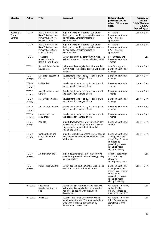| Chapter                        | <b>Policy</b>           | <b>Title</b>                                                                              | Comment                                                                                                                                                           | <b>Relationship to</b><br>proposed DPD or<br>other LDD or lapse<br>date.                                                                              | <b>Priority for</b><br>review?<br>(High/Medium<br>$/$ Low $/$<br>Beyond 3 yrs) |
|--------------------------------|-------------------------|-------------------------------------------------------------------------------------------|-------------------------------------------------------------------------------------------------------------------------------------------------------------------|-------------------------------------------------------------------------------------------------------------------------------------------------------|--------------------------------------------------------------------------------|
| Retailing &<br>Town<br>Centres | <b>TCR19</b>            | Hatfield: Acceptable<br>Uses Outside of the<br>Primary Retail Core<br>(Lemsford Road)     | In part, development control, but largely<br>dealing with identifying acceptable uses in a<br>defined area. Consider merging to<br>Allocations DPD.               | Allocations /<br>Development Control<br>DPD - merge as<br>appropriate                                                                                 | Low $/$ > 3 yrs                                                                |
|                                | <b>TCR20</b>            | Hatfield: Acceptable<br>Uses Outside of the<br><b>Primary Retail Core</b><br>(The Common) | In part, development control, but largely<br>dealing with identifying acceptable uses in a<br>defined area. Consider merging to<br>Allocations DPD.               | Allocations /<br>Development Control<br>DPD - merge as<br>appropriate                                                                                 | Low $/$ > 3 yrs                                                                |
|                                | <b>TCR21</b>            | Transport<br>Infrastructure in<br><b>Hatfield Town Centre</b>                             | Largely dealt with by other District-wide Plan<br>policies, operates in tandem with Policy IM2.                                                                   | Core Strategy and<br>Development Control<br>$-$ merge                                                                                                 | Low                                                                            |
|                                | <b>TCR22</b>            | Hatfield: Town Centre<br>Environment                                                      | Policy objectives largely dealt with by other<br>District-wide Plan policies dealing with design<br>matters.                                                      | Core Strategy and<br>Development Control<br>$-$ merge                                                                                                 | Low $/$ > 3 yrs                                                                |
|                                | TCR25<br>(TCR23)        | Large Neighbourhood<br>Centres                                                            | Development control policy for dealing with<br>applications for changes of use.                                                                                   | Development Control<br>- merge                                                                                                                        | Low $/$ > 3 yrs                                                                |
|                                | <b>TCR26</b><br>(TCR24) | Old Hatfield                                                                              | Development control policy for dealing with<br>applications for changes of use.                                                                                   | Development Control<br>- merge                                                                                                                        | Low $/$ > 3 yrs                                                                |
|                                | TCR27<br>(TCR25)        | Small Neighbourhood<br>Centres                                                            | Development control policy for dealing with<br>applications for changes of use.                                                                                   | Development Control<br>$-$ merge                                                                                                                      | Low $/$ > 3 yrs                                                                |
|                                | TCR28<br>(TCR26)        | Large Village Centres                                                                     | Development control policy for dealing with<br>applications for changes of use.                                                                                   | Development Control<br>- merge                                                                                                                        | Low $/$ > 3 yrs                                                                |
|                                | TCR29<br>(TCR27)        | Small Village Centres                                                                     | Development control policy for dealing with<br>applications for changes of use.                                                                                   | Development Control<br>- merge                                                                                                                        | Low $/$ > 3 yrs                                                                |
|                                | TCR30<br>(TCR28)        | Loss of Individual<br>Local shops                                                         | Development control policy for dealing with<br>applications for changes of use.                                                                                   | Development Control<br>$-$ merge                                                                                                                      | Low $/$ > 3 yrs                                                                |
|                                | <b>TCR31</b><br>(TCR29) | Markets                                                                                   | In part development control criteria, in part<br>market specific although does not consider<br>impact on existing established markets<br>outside the District.    | Development Control<br>$-$ merge                                                                                                                      | Low $/$ > 3 yrs                                                                |
|                                | TCR32<br>(TCR30)        | Car Boot Sales and<br>Other Temporary<br>Sales                                            | In part repeats PPG2. Criteria largely generic<br>development control, one criterion deals with<br>retail impact                                                  | Development Control<br>- merge, consider<br>role of Core Strategy<br>in relation to<br>preventing adverse<br>impact on retail<br>vitality & viability | Low $/$ > 3 yrs                                                                |
|                                | TCR33<br>(TCR31)        | <b>Amusement Centres</b>                                                                  | In part development control but objective<br>could be expressed in a Core Strategy policy<br>for town centres                                                     | Consider part merge<br>to Core Strategy,<br>otherwise<br>development control                                                                          | Low                                                                            |
|                                | TCR34<br>(TCR32)        | Petrol Filling Stations                                                                   | Largely generic development control criteria,<br>one criterion deals with retail impact                                                                           | Development Control<br>- merge, consider<br>role of Core Strategy<br>in relation to<br>preventing adverse<br>impact on retail<br>vitality & viability | Low $/$ > 3 yrs                                                                |
|                                | HATAER1                 | Sustainable<br>Development of the<br>Site                                                 | Applies to a specific area of land. However,<br>policy objective largely dealt with by other<br>Plan policies dealing with sustainable<br>development.            | Allocations - merge to<br>define the site.<br>Otherwise lapse at<br>June 2010 (S to SoS)                                                              | Low                                                                            |
|                                | HATAER2                 | Mixed Use                                                                                 | Describes the range of uses that will be<br>permitted on the site. The scale and role of<br>retail uses is defined. Provides policy<br>framework for Master Plan. | Allocations - merge in<br>light of development<br>completed at that<br>time                                                                           | Low                                                                            |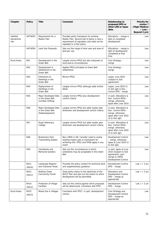| Chapter                       | <b>Policy</b>         | <b>Title</b>                                                      | Comment                                                                                                                                                          | <b>Relationship to</b><br>proposed DPD or<br>other LDD or lapse<br>date.                                      | <b>Priority for</b><br>review?<br>(High/Medium<br>$/$ Low $/$<br>Beyond 3 yrs) |
|-------------------------------|-----------------------|-------------------------------------------------------------------|------------------------------------------------------------------------------------------------------------------------------------------------------------------|---------------------------------------------------------------------------------------------------------------|--------------------------------------------------------------------------------|
| Hatfield<br>Aerodrome<br>site | HATAER3               | Requirement for a<br>Master Plan                                  | Provides policy framework for existing<br>Master Plan. Second half of policy is now a<br>requirement of regulation and need not be<br>repeated in a Plan policy. | Allocations - merge in<br>light of completed<br>development                                                   | Low                                                                            |
|                               | HATAER4               | Land Use Proposals                                                | Sets out the range of land uses and area of<br>land per use.                                                                                                     | Allocations - merge in<br>light of development<br>completed at that<br>time                                   | Low                                                                            |
| <b>Rural Areas</b>            | RA1                   | Development in the<br>Green Belt                                  | Largely mirrors PPG2 but also interprets to<br>local area & circumstances.                                                                                       | Core Strategy -<br>merge                                                                                      | Low                                                                            |
|                               | RA <sub>2</sub>       | Development in<br>Settlements in the<br>Green Belt                | Applies PPG2 principles to Green Belt<br>settlements.                                                                                                            | Core Strategy -<br>merge                                                                                      | Low                                                                            |
|                               | RA3                   | Extensions to<br>Dwellings in the<br>Green Belt                   | Mirrors PPG2.                                                                                                                                                    | Lapse: June 2010<br>(subject to SoS<br>agreement)                                                             | Low                                                                            |
|                               | RA4                   | Replacement of<br>Dwellings in the<br>Green Belt                  | Largely mirrors PPG2 although adds further<br>detail.                                                                                                            | Lapse: June 2010 (S<br>to SoS agt) & Dev.<br>Control DPD - merge                                              | Low                                                                            |
|                               | RA <sub>5</sub>       | Major Developed Sites<br>in the Green Belt<br>(Limited Infilling) | Largely mirrors PPG2 plus development<br>control criteria.                                                                                                       | In part, Allocations &<br>Dev. Control DPDs -<br>merge, otherwise<br>lapse after June 2010.                   | Low                                                                            |
|                               | RA6                   | Major Developed Sites<br>in the Green Belt<br>(Redevelopment)     | Largely mirrors PPG2 but adds master plan<br>dimension and development control criteria.                                                                         | In part, Allocations &<br>Dev. Control DPDs -<br>merge, otherwise<br>lapse after June 2010<br>(S to SoS agt). | Low                                                                            |
|                               | RA7                   | Royal Veterinary<br>College                                       | Largely mirrors PPG2 but adds master plan<br>dimension and development control criteria.                                                                         | In part, Allocations &<br>Dev. Control DPDs -<br>merge, otherwise<br>lapse after June 2010<br>(S to SoS agt). | Low                                                                            |
|                               | RA <sub>8</sub>       | <b>Brookmans Park</b><br><b>Transmitting Station</b>              | Not a MDS in GB. Consider need to review<br>existing master plan & mechanism for<br>achieving this. PPG2 and PPG8 apply in any<br>event.                         | Development Control<br>- merge, otherwise<br>lapse at June 2010 (S<br>to SoS agt).                            | Low                                                                            |
|                               | RA9                   | Cemeteries and<br><b>Memorial Gardens</b>                         | Sets out the circumstances in which<br>cemeteries may be acceptable in the Green<br>Belt.                                                                        | In part, lapse at June<br>2010 (Subject to SoS<br>agreement), part<br>merge to (DPD)<br>Development Control   | Low                                                                            |
|                               | <b>RA11</b><br>(RA10) | Landscape Regions<br>and Character Areas                          | Provides the policy context for technical work<br>and supplementary guidance.                                                                                    | Development Control<br>DPD - merge                                                                            | Low $/$ > 3 yrs                                                                |
|                               | <b>RA12</b><br>(RA11) | <b>Watling Chase</b><br><b>Community Forest</b>                   | Gives policy status to the objectives of the<br>WCCF Plan and sets out the extent to which<br>development will be permitted.                                     | Allocations and<br>Development Control<br>DPD - merge as<br>appropriate                                       | Low $/$ > 3 yrs                                                                |
|                               | <b>RA14</b><br>(RA12) | Protection of Village<br>Facilities                               | Sets out the criteria against which proposals<br>will be determined. Consistent with PPS7.                                                                       | Development Control<br>$DPD - merge$                                                                          | Low $/$ > 3 yrs                                                                |
| <b>Rural Areas</b>            | <b>RA15</b><br>(RA13) | Mixed Use in Villages                                             | Consistent with PPS7. In part, development<br>control.                                                                                                           | Core Strategy and<br>Development Control<br>DPD - merge as<br>appropriate                                     | Low                                                                            |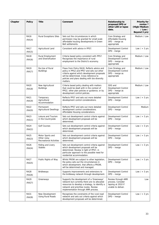| Chapter | <b>Policy</b>         | <b>Title</b>                                               | Comment                                                                                                                                                                                                                                          | <b>Relationship to</b><br>proposed DPD or<br>other LDD or lapse<br>date.            | <b>Priority for</b><br>review?<br>(High/Medium<br>$/$ Low $/$<br>Beyond 3 yrs) |
|---------|-----------------------|------------------------------------------------------------|--------------------------------------------------------------------------------------------------------------------------------------------------------------------------------------------------------------------------------------------------|-------------------------------------------------------------------------------------|--------------------------------------------------------------------------------|
|         | <b>RA16</b><br>(RA14) | <b>Rural Exceptions Sites</b>                              | Sets out the circumstances in which<br>permission may be granted for small-scale<br>affordable housing developments in Green<br>Belt settlements.                                                                                                | Core Strategy and<br>Affordable Housing<br>SPD - merge as<br>appropriate            | Medium / Low                                                                   |
|         | <b>RA17</b><br>(RA15) | Agricultural Land                                          | Consistent with advice in PPS7.                                                                                                                                                                                                                  | Development Control<br>DPD - merge                                                  | Low $/$ > 3 yrs                                                                |
|         | <b>RA18</b><br>(RA16) | Rural Employment<br>and Diversification                    | Criteria based policy consistent with PPS7.<br>Recognises the importance of rural<br>employment to the District's economy.                                                                                                                       | Core Strategy and<br>Development Control<br>DPD - merge as<br>appropriate           | Medium / Low                                                                   |
|         | <b>RA19</b><br>(RA17) | Re-Use of Rural<br><b>Buildings</b>                        | Flows from Policy RA18. Reflects advice and<br>policy in PPG2 and PPS7 and sets out other<br>criteria against which development proposals<br>will be determined. Cross reference to<br>policies and plans dealing with bio-diversity<br>matters. | Core Strategy and<br>Development Control<br>DPD - merge as<br>appropriate           | Medium / Low                                                                   |
|         | <b>RA20</b><br>(RA18) | New Agricultural<br><b>Buildings</b>                       | Criteria based policy dealing with matters<br>that could be dealt with in the context of<br>PPG2, other plan policies or guidance, or by<br>development control policies.                                                                        | SDG and<br>Development Control<br>DPD - merge as<br>appropriate                     | Medium / Low                                                                   |
|         | <b>RA21</b><br>(RA19) | Temporary<br>Agricultural<br>Accommodation                 | Reflects PPS7 and sets out more detailed<br>development control considerations.                                                                                                                                                                  | Development Control<br>DPD - merge                                                  | Low $/$ > 3 yrs                                                                |
|         | <b>RA22</b><br>(RA20) | Permanent<br><b>Agricultural Dwellings</b>                 | Reflects PPS7 and sets out more detailed<br>development control considerations.<br>Affordable Housing considerations.                                                                                                                            | Development Control<br>DPD - merge                                                  | Medium                                                                         |
|         | <b>RA23</b><br>(RA21) | Leisure and Tourism<br>in the Countryside                  | Sets out development control criteria against<br>which development proposals will be<br>determined.                                                                                                                                              | Development Control<br>DPD - merge                                                  | Low $/$ > 3 yrs                                                                |
|         | <b>RA24</b><br>(RA22) | <b>Golf Courses</b>                                        | Sets out development control criteria against<br>which development proposals will be<br>determined.                                                                                                                                              | Development Control<br>DPD - merge                                                  | Low $/$ > 3 yrs                                                                |
|         | <b>RA25</b><br>(RA23) | Motor Sports and<br>Other noisy<br>Recreational Activities | Sets out development control criteria against<br>which development proposals will be<br>determined.                                                                                                                                              | Development Control<br>DPD - merge                                                  | Low $/$ > 3 yrs                                                                |
|         | <b>RA26</b><br>(RA24) | Riding and Livery<br><b>Stables</b>                        | Sets out development control criteria against<br>which development proposals will be<br>determined. Review in light of PPS7, in<br>particular approach to the possible need for<br>residential accommodation.                                    | Development Control<br>DPD - merge                                                  | Low $/$ > 3 yrs                                                                |
|         | <b>RA27</b><br>(RA25) | Public Rights of Way                                       | Whilst PROW are subject to other legislation,<br>the policy sets out the circumstances in<br>which development, that affects a PROW,<br>will be determined and managed.                                                                          | Development Control<br>DPD - merge                                                  | Low $/$ > 3 yrs                                                                |
|         | <b>RA28</b><br>(RA26) | <b>Bridleways</b>                                          | Supports improvements and extensions to<br>the bridleway network through development.                                                                                                                                                            | Development Control<br>DPD - merge                                                  | Low $/$ > 3 yrs                                                                |
|         | <b>RA29</b><br>(RA27) | Greenways                                                  | Supports the development of a 'Greenways'<br>network but currently there are no allocated<br>resources to develop a strategy, to identify a<br>network and prioritise routes. Review<br>implementation through AMR process.                      | Review through AMR<br>process. Consider<br>lapsing at 2010 if<br>unable to deliver. | Low                                                                            |
|         | <b>RA31</b><br>(RA28) | New Development<br>Using Rural Roads                       | Recognises the constraints of the rural road<br>network and sets out criteria against which<br>development proposals will be determined.                                                                                                         | Development Control<br>$DPD$ – merge                                                | Low $/$ > 3 yrs                                                                |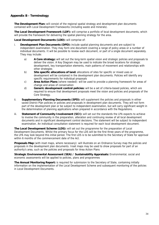#### **Appendix B - Terminology**

**The Development Plan:** will consist of the regional spatial strategy and development plan documents contained with Local Development Frameworks (including waste and minerals).

**The Local Development Framework (LDF):** will comprise a portfolio of local development documents, which will provide the framework for delivering the spatial planning strategy for the area.

**Local Development Documents (LDD):** will comprise of:

- i. **Development Plan Documents (DPD):** include spatial planning documents and are subject to independent examination. They may form one document covering a range of policy areas or a number of individual documents. It will be possible to review each document, or part of a single document separately. They may include:
	- a) **A Core strategy:** will set out the long-term spatial vision and strategic policies and proposals to deliver the vision. A Key Diagram may be used to indicate the broad locations for strategic development, key transportation elements, main patterns of movement and relationships with other strategies
	- b) **Site specific allocations of land:** allocations of sites for specific or mixed uses or development will be contained in the development plan documents. Policies will identify any specific requirements for individual proposals
	- c) **Area Action Plans** (where needed): will be used to provide a planning framework for areas of change and areas of conservation
	- d) **Generic development control policies:** will be a set of criteria-based policies, which are required to ensure that development proposals meet the vision and policies and proposals of the Core Strategy.
- ii. **Supplementary Planning Documents (SPD):** will supplement the policies and proposals in either saved District Plan policies or policies and proposals in development plan documents. They will not form part of the development plan or be subject to independent examination, but will carry significant weight in the determination of planning applications when prepared in accordance with the Regulations.
- iii. **Statement of Community Involvement (SCI):** will set out the standards the LPA expects to achieve to involve the community in the preparation, alteration and continuing review of all local development documents and in significant development control decisions. The statement will be subject to independent examination. An individual consultation statement is required for each local development document.

**The Local Development Scheme (LDS):** will set out the programme for the preparation of Local Development Documents. Whilst the primary focus for the LDS will be the first three years of the programme, the LPA may look beyond this initial period. The first LDS is to be submitted to the Secretary of State for approval within 6 months of the commencement date of the Act.

**Proposals Map** (with inset maps, where necessary): will illustrate on an Ordnance Survey map the policies and proposals in the development plan documents. Inset maps may be used to show proposals for part of an authority's area, such as the policies and proposals for Area Action Plans

**Strategic Environmental Assessment (SEA) / Sustainability Appraisals:** Environmental, social and economic assessments will be applied to policies, plans and programmes

**The Annual Monitoring Report:** is required for submission to the Secretary of State, containing initially information on the implementation of the Local Development Scheme and subsequent monitoring of the policies in Local Development Documents.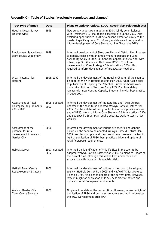### **Appendix C – Table of Studies (previously completed and planned)**

| <b>Title/Type of Study</b>                                                        | Date                  | Plans to update/replace, LDD / 'saved' plan relationship(s)                                                                                                                                                                                                                                                                                                                           |
|-----------------------------------------------------------------------------------|-----------------------|---------------------------------------------------------------------------------------------------------------------------------------------------------------------------------------------------------------------------------------------------------------------------------------------------------------------------------------------------------------------------------------|
| <b>Housing Needs Survey</b><br>(District-wide)                                    | 1999                  | New survey undertaken in autumn 2004, jointly commissioned<br>with Hertsmere BC. Final report expected late Spring 2005. Also<br>exploring opportunities in 2005 to expand extent of survey to the<br>needs of specific groups. To inform / update saved policy and to<br>inform development of Core Strategy / Site Allocations DPDs.                                                |
| <b>Employment Space Needs</b><br>(joint county-wide study)                        | 1999                  | Informed development of Structure Plan and District Plan. Propose<br>to update/replace with an Employment floorspace and Land<br>Availability Study in 2005/06. Consider opportunities to work with<br>others, e.g. St. Albans and Hertsmere B/DCs. To inform<br>development of Core Strategy / Site Allocations DPDs. Also<br>required to inform development of Broadwater Road SPD. |
| <b>Urban Potential for</b><br>Housing                                             | 1998/1999             | Informed the development of the Housing Chapter of the soon to<br>be adopted Welwyn Hatfield District Plan 2005. Undertaken prior<br>to publication of 'Tapping the Potential'. Further in-house work<br>undertaken to inform Structure Plan / RSS. Plan to update /<br>replace with new Housing Capacity Study in line with best practice<br>in 2006/2007.                           |
| Assessment of Retail<br><b>Floorspace Requirements</b><br>2001-2011               | 1998, updated<br>2002 | Informed the development of the Retailing and Town Centres<br>Chapter of the soon to be adopted Welwyn Hatfield District Plan<br>2005. Plan to update following publication of best practice advice<br>and of PPS6. Work to inform Core Strategy & Site Allocations DPDs<br>and site specific SPDs. May require separate work to test market<br>viability.                            |
| Assessment of the<br>potential for retail<br>development in Welwyn<br>Garden City | 2000                  | Informed the development of various site specific and generic<br>policies in the soon to be adopted Welwyn Hatfield District Plan<br>2005. No plans to update at the current time. However, review in<br>light of publication of PPS6, best practice advice and update of<br>retail floorspace requirements.                                                                          |
| <b>Habitat Survey</b>                                                             | 1997, updated<br>2002 | Informed the identification of Wildlife Sites in the soon to be<br>adopted Welwyn Hatfield District Plan 2005. No plans to update at<br>the current time, although this will be kept under review in<br>association with those in this specialist field.                                                                                                                              |
| <b>Hatfield Town Centre</b><br>Redevelopment Strategy                             | 2000                  | Informed the development of policies in the soon to be adopted<br>Welwyn Hatfield District Plan 2005 and Hatfield TC East Revised<br>Planning Brief. No plans to update at the current time. However,<br>review in light of publication of PPS6, best practice advice and<br>update of retail floorspace requirements.                                                                |
| Welwyn Garden City<br>Town Centre Strategy                                        | 2002                  | No plans to update at the current time. However, review in light of<br>publication of PPS6 and best practice advice and work to develop<br>the WGC Development Brief SPD.                                                                                                                                                                                                             |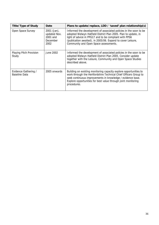| Title/Type of Study                   | Date                                                          | Plans to update/replace, LDD / 'saved' plan relationship(s)                                                                                                                                                                                                                                           |
|---------------------------------------|---------------------------------------------------------------|-------------------------------------------------------------------------------------------------------------------------------------------------------------------------------------------------------------------------------------------------------------------------------------------------------|
| Open Space Survey                     | $2001$ (Jan),<br>updated Nov.<br>2001 and<br>December<br>2002 | Informed the development of associated policies in the soon to be<br>adopted Welwyn Hatfield District Plan 2005. Plan to update, in<br>light of advice in PPG17 and to be compliant with PPS6<br>(publication awaited), in 2005/06. Expand to cover Leisure,<br>Community and Open Space assessments. |
| Playing Pitch Provision<br>Study      | June 2002                                                     | Informed the development of associated policies in the soon to be<br>adopted Welwyn Hatfield District Plan 2005. Consider update<br>together with the Leisure, Community and Open Space Studies<br>described above.                                                                                   |
| Evidence Gathering /<br>Baseline Data | 2005 onwards                                                  | Building on existing monitoring capacity explore opportunities to<br>work through the Hertfordshire Technical Chief Officers Group to<br>seek continuous improvements in knowledge / evidence base.<br>Explore opportunities for best value through joint monitoring<br>procedures.                   |